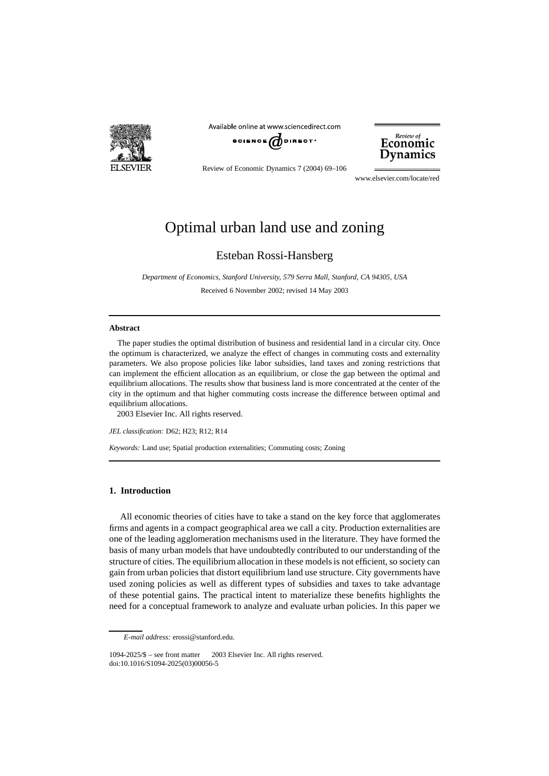





Review of Economic Dynamics 7 (2004) 69–106

www.elsevier.com/locate/red

# Optimal urban land use and zoning

## Esteban Rossi-Hansberg

*Department of Economics, Stanford University, 579 Serra Mall, Stanford, CA 94305, USA* Received 6 November 2002; revised 14 May 2003

## **Abstract**

The paper studies the optimal distribution of business and residential land in a circular city. Once the optimum is characterized, we analyze the effect of changes in commuting costs and externality parameters. We also propose policies like labor subsidies, land taxes and zoning restrictions that can implement the efficient allocation as an equilibrium, or close the gap between the optimal and equilibrium allocations. The results show that business land is more concentrated at the center of the city in the optimum and that higher commuting costs increase the difference between optimal and equilibrium allocations.

2003 Elsevier Inc. All rights reserved.

*JEL classification:* D62; H23; R12; R14

*Keywords:* Land use; Spatial production externalities; Commuting costs; Zoning

## **1. Introduction**

All economic theories of cities have to take a stand on the key force that agglomerates firms and agents in a compact geographical area we call a city. Production externalities are one of the leading agglomeration mechanisms used in the literature. They have formed the basis of many urban models that have undoubtedly contributed to our understanding of the structure of cities. The equilibrium allocation in these models is not efficient, so society can gain from urban policies that distort equilibrium land use structure. City governments have used zoning policies as well as different types of subsidies and taxes to take advantage of these potential gains. The practical intent to materialize these benefits highlights the need for a conceptual framework to analyze and evaluate urban policies. In this paper we

*E-mail address:* erossi@stanford.edu.

 $1094-2025/$ \$ – see front matter  $\odot$  2003 Elsevier Inc. All rights reserved. doi:10.1016/S1094-2025(03)00056-5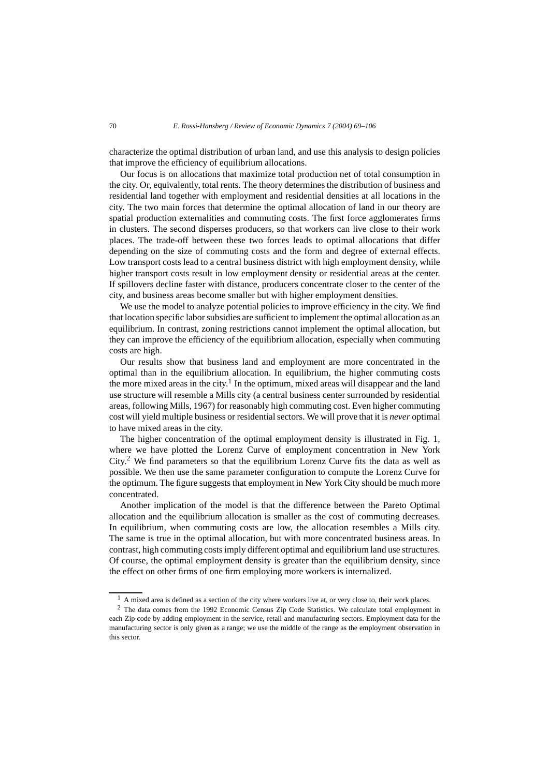characterize the optimal distribution of urban land, and use this analysis to design policies that improve the efficiency of equilibrium allocations.

Our focus is on allocations that maximize total production net of total consumption in the city. Or, equivalently, total rents. The theory determines the distribution of business and residential land together with employment and residential densities at all locations in the city. The two main forces that determine the optimal allocation of land in our theory are spatial production externalities and commuting costs. The first force agglomerates firms in clusters. The second disperses producers, so that workers can live close to their work places. The trade-off between these two forces leads to optimal allocations that differ depending on the size of commuting costs and the form and degree of external effects. Low transport costs lead to a central business district with high employment density, while higher transport costs result in low employment density or residential areas at the center. If spillovers decline faster with distance, producers concentrate closer to the center of the city, and business areas become smaller but with higher employment densities.

We use the model to analyze potential policies to improve efficiency in the city. We find that location specific labor subsidies are sufficient to implement the optimal allocation as an equilibrium. In contrast, zoning restrictions cannot implement the optimal allocation, but they can improve the efficiency of the equilibrium allocation, especially when commuting costs are high.

Our results show that business land and employment are more concentrated in the optimal than in the equilibrium allocation. In equilibrium, the higher commuting costs the more mixed areas in the city.<sup>1</sup> In the optimum, mixed areas will disappear and the land use structure will resemble a Mills city (a central business center surrounded by residential areas, following Mills, 1967) for reasonably high commuting cost. Even higher commuting cost will yield multiple business or residential sectors. We will prove that it is *never* optimal to have mixed areas in the city.

The higher concentration of the optimal employment density is illustrated in Fig. 1, where we have plotted the Lorenz Curve of employment concentration in New York City.<sup>2</sup> We find parameters so that the equilibrium Lorenz Curve fits the data as well as possible. We then use the same parameter configuration to compute the Lorenz Curve for the optimum. The figure suggests that employment in New York City should be much more concentrated.

Another implication of the model is that the difference between the Pareto Optimal allocation and the equilibrium allocation is smaller as the cost of commuting decreases. In equilibrium, when commuting costs are low, the allocation resembles a Mills city. The same is true in the optimal allocation, but with more concentrated business areas. In contrast, high commuting costs imply different optimal and equilibrium land use structures. Of course, the optimal employment density is greater than the equilibrium density, since the effect on other firms of one firm employing more workers is internalized.

<sup>1</sup> A mixed area is defined as a section of the city where workers live at, or very close to, their work places.

<sup>2</sup> The data comes from the 1992 Economic Census Zip Code Statistics. We calculate total employment in each Zip code by adding employment in the service, retail and manufacturing sectors. Employment data for the manufacturing sector is only given as a range; we use the middle of the range as the employment observation in this sector.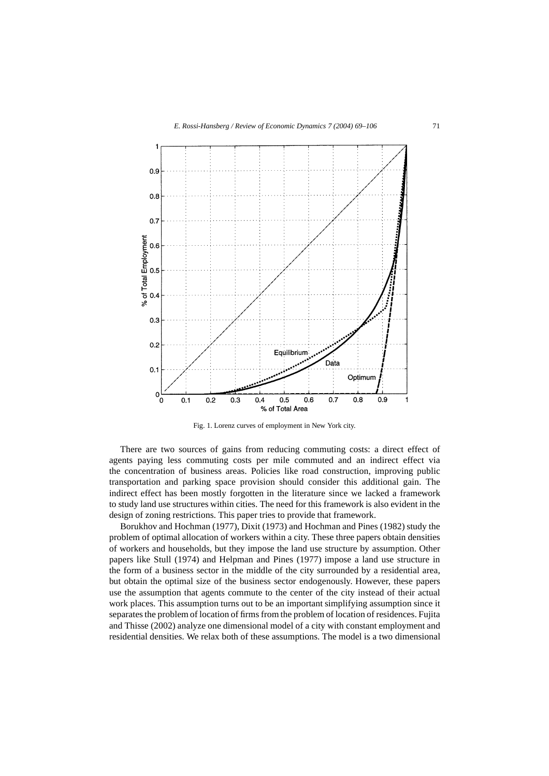

Fig. 1. Lorenz curves of employment in New York city.

There are two sources of gains from reducing commuting costs: a direct effect of agents paying less commuting costs per mile commuted and an indirect effect via the concentration of business areas. Policies like road construction, improving public transportation and parking space provision should consider this additional gain. The indirect effect has been mostly forgotten in the literature since we lacked a framework to study land use structures within cities. The need for this framework is also evident in the design of zoning restrictions. This paper tries to provide that framework.

Borukhov and Hochman (1977), Dixit (1973) and Hochman and Pines (1982) study the problem of optimal allocation of workers within a city. These three papers obtain densities of workers and households, but they impose the land use structure by assumption. Other papers like Stull (1974) and Helpman and Pines (1977) impose a land use structure in the form of a business sector in the middle of the city surrounded by a residential area, but obtain the optimal size of the business sector endogenously. However, these papers use the assumption that agents commute to the center of the city instead of their actual work places. This assumption turns out to be an important simplifying assumption since it separates the problem of location of firms from the problem of location of residences. Fujita and Thisse (2002) analyze one dimensional model of a city with constant employment and residential densities. We relax both of these assumptions. The model is a two dimensional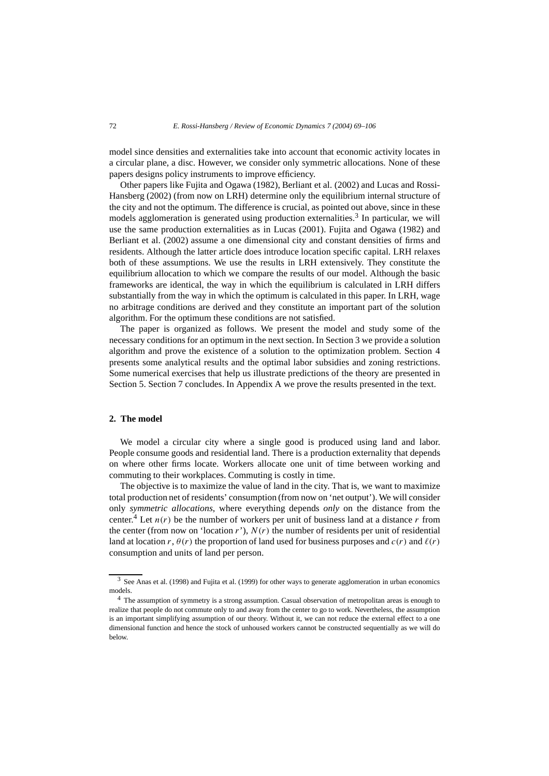model since densities and externalities take into account that economic activity locates in a circular plane, a disc. However, we consider only symmetric allocations. None of these papers designs policy instruments to improve efficiency.

Other papers like Fujita and Ogawa (1982), Berliant et al. (2002) and Lucas and Rossi-Hansberg (2002) (from now on LRH) determine only the equilibrium internal structure of the city and not the optimum. The difference is crucial, as pointed out above, since in these models agglomeration is generated using production externalities.<sup>3</sup> In particular, we will use the same production externalities as in Lucas (2001). Fujita and Ogawa (1982) and Berliant et al. (2002) assume a one dimensional city and constant densities of firms and residents. Although the latter article does introduce location specific capital. LRH relaxes both of these assumptions. We use the results in LRH extensively. They constitute the equilibrium allocation to which we compare the results of our model. Although the basic frameworks are identical, the way in which the equilibrium is calculated in LRH differs substantially from the way in which the optimum is calculated in this paper. In LRH, wage no arbitrage conditions are derived and they constitute an important part of the solution algorithm. For the optimum these conditions are not satisfied.

The paper is organized as follows. We present the model and study some of the necessary conditions for an optimum in the next section. In Section 3 we provide a solution algorithm and prove the existence of a solution to the optimization problem. Section 4 presents some analytical results and the optimal labor subsidies and zoning restrictions. Some numerical exercises that help us illustrate predictions of the theory are presented in Section 5. Section 7 concludes. In Appendix A we prove the results presented in the text.

## **2. The model**

We model a circular city where a single good is produced using land and labor. People consume goods and residential land. There is a production externality that depends on where other firms locate. Workers allocate one unit of time between working and commuting to their workplaces. Commuting is costly in time.

The objective is to maximize the value of land in the city. That is, we want to maximize total production net of residents' consumption (from now on 'net output'). We will consider only *symmetric allocations*, where everything depends *only* on the distance from the center.<sup>4</sup> Let  $n(r)$  be the number of workers per unit of business land at a distance r from the center (from now on 'location  $r'$ ),  $N(r)$  the number of residents per unit of residential land at location *r*,  $\theta(r)$  the proportion of land used for business purposes and  $c(r)$  and  $\ell(r)$ consumption and units of land per person.

<sup>&</sup>lt;sup>3</sup> See Anas et al. (1998) and Fujita et al. (1999) for other ways to generate agglomeration in urban economics models.

<sup>4</sup> The assumption of symmetry is a strong assumption. Casual observation of metropolitan areas is enough to realize that people do not commute only to and away from the center to go to work. Nevertheless, the assumption is an important simplifying assumption of our theory. Without it, we can not reduce the external effect to a one dimensional function and hence the stock of unhoused workers cannot be constructed sequentially as we will do below.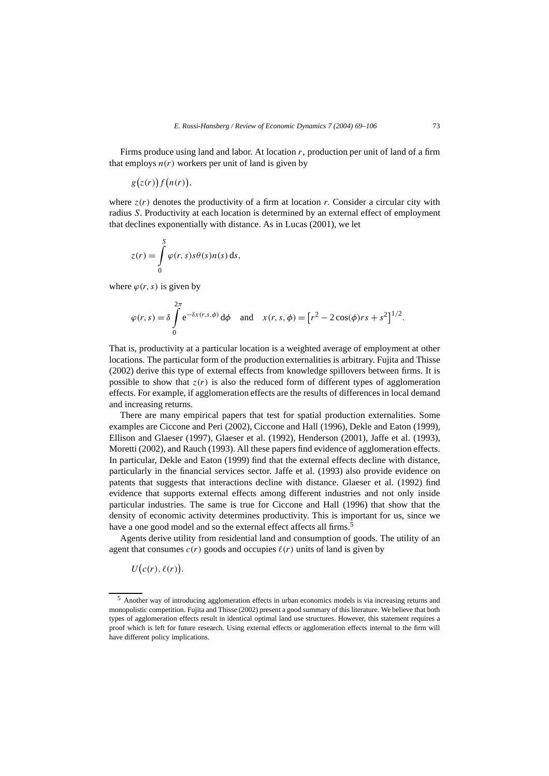Firms produce using land and labor. At location *r*, production per unit of land of a firm that employs  $n(r)$  workers per unit of land is given by

$$
g(z(r))f(n(r)),
$$

where  $z(r)$  denotes the productivity of a firm at location *r*. Consider a circular city with radius *S*. Productivity at each location is determined by an external effect of employment that declines exponentially with distance. As in Lucas (2001), we let

$$
z(r) = \int_{0}^{S} \varphi(r, s) s \theta(s) n(s) \, ds,
$$

where  $\varphi(r, s)$  is given by

$$
\varphi(r,s) = \delta \int_{0}^{2\pi} e^{-\delta x(r,s,\phi)} d\phi \text{ and } x(r,s,\phi) = [r^2 - 2\cos(\phi)rs + s^2]^{1/2}.
$$

That is, productivity at a particular location is a weighted average of employment at other locations. The particular form of the production externalities is arbitrary. Fujita and Thisse (2002) derive this type of external effects from knowledge spillovers between firms. It is possible to show that  $z(r)$  is also the reduced form of different types of agglomeration effects. For example, if agglomeration effects are the results of differences in local demand and increasing returns.

There are many empirical papers that test for spatial production externalities. Some examples are Ciccone and Peri (2002), Ciccone and Hall (1996), Dekle and Eaton (1999), Ellison and Glaeser (1997), Glaeser et al. (1992), Henderson (2001), Jaffe et al. (1993), Moretti (2002), and Rauch (1993). All these papers find evidence of agglomeration effects. In particular, Dekle and Eaton (1999) find that the external effects decline with distance, particularly in the financial services sector. Jaffe et al. (1993) also provide evidence on patents that suggests that interactions decline with distance. Glaeser et al. (1992) find evidence that supports external effects among different industries and not only inside particular industries. The same is true for Ciccone and Hall (1996) that show that the density of economic activity determines productivity. This is important for us, since we have a one good model and so the external effect affects all firms.<sup>5</sup>

Agents derive utility from residential land and consumption of goods. The utility of an agent that consumes  $c(r)$  goods and occupies  $\ell(r)$  units of land is given by

 $U(c(r), \ell(r)).$ 

<sup>5</sup> Another way of introducing agglomeration effects in urban economics models is via increasing returns and monopolistic competition. Fujita and Thisse (2002) present a good summary of this literature. We believe that both types of agglomeration effects result in identical optimal land use structures. However, this statement requires a proof which is left for future research. Using external effects or agglomeration effects internal to the firm will have different policy implications.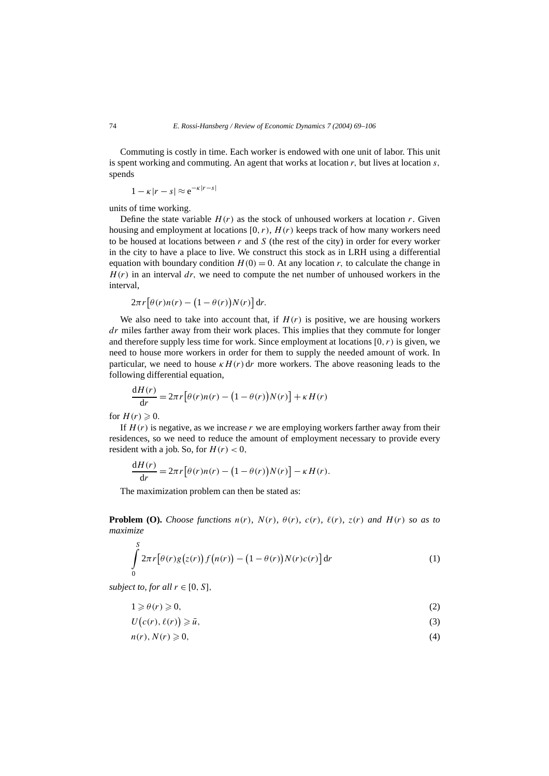Commuting is costly in time. Each worker is endowed with one unit of labor. This unit is spent working and commuting. An agent that works at location *r,* but lives at location *s,* spends

$$
1 - \kappa |r - s| \approx e^{-\kappa |r - s|}
$$

units of time working.

Define the state variable  $H(r)$  as the stock of unhoused workers at location *r*. Given housing and employment at locations [0*,r)*, *H (r)* keeps track of how many workers need to be housed at locations between *r* and *S* (the rest of the city) in order for every worker in the city to have a place to live. We construct this stock as in LRH using a differential equation with boundary condition  $H(0) = 0$ . At any location *r*, to calculate the change in  $H(r)$  in an interval  $dr$ , we need to compute the net number of unhoused workers in the interval,

$$
2\pi r \left[\theta(r)n(r) - \left(1 - \theta(r)\right)N(r)\right] \mathrm{d}r.
$$

We also need to take into account that, if  $H(r)$  is positive, we are housing workers *dr* miles farther away from their work places. This implies that they commute for longer and therefore supply less time for work. Since employment at locations [0*,r)* is given, we need to house more workers in order for them to supply the needed amount of work. In particular, we need to house  $\kappa H(r) dr$  more workers. The above reasoning leads to the following differential equation,

$$
\frac{dH(r)}{dr} = 2\pi r [\theta(r)n(r) - (1 - \theta(r))N(r)] + \kappa H(r)
$$

for  $H(r) \geqslant 0$ .

*S*

If  $H(r)$  is negative, as we increase  $r$  we are employing workers farther away from their residences, so we need to reduce the amount of employment necessary to provide every resident with a job. So, for  $H(r) < 0$ ,

$$
\frac{dH(r)}{dr} = 2\pi r \big[\theta(r)n(r) - (1 - \theta(r))N(r)\big] - \kappa H(r).
$$

The maximization problem can then be stated as:

**Problem (O).** *Choose functions*  $n(r)$ *,*  $N(r)$ *,*  $\theta(r)$ *,*  $c(r)$ *,*  $\ell(r)$ *,*  $z(r)$  *and*  $H(r)$  *so as to maximize*

$$
\int_{0}^{S} 2\pi r \left[\theta(r)g(z(r))f(n(r)) - (1 - \theta(r))N(r)c(r)\right]dr\tag{1}
$$

*subject to, for all*  $r \in [0, S]$ *,* 

 $1 \geq \theta(r) \geq 0,$  (2)

$$
U\big(c(r),\ell(r)\big) \geqslant \bar{u},\tag{3}
$$

$$
n(r), N(r) \geqslant 0,\tag{4}
$$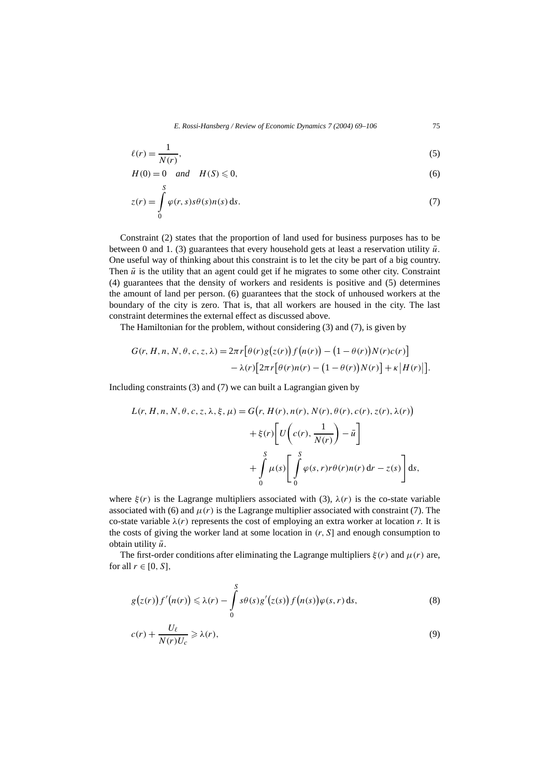*E. Rossi-Hansberg / Review of Economic Dynamics 7 (2004) 69–106* 75

$$
\ell(r) = \frac{1}{N(r)},\tag{5}
$$

$$
H(0) = 0 \quad and \quad H(S) \leq 0,
$$
\n<sup>(6)</sup>

$$
z(r) = \int_{0}^{3} \varphi(r, s)s\theta(s)n(s) ds.
$$
 (7)

Constraint (2) states that the proportion of land used for business purposes has to be between 0 and 1. (3) guarantees that every household gets at least a reservation utility  $\bar{u}$ . One useful way of thinking about this constraint is to let the city be part of a big country. Then  $\bar{u}$  is the utility that an agent could get if he migrates to some other city. Constraint (4) guarantees that the density of workers and residents is positive and (5) determines the amount of land per person. (6) guarantees that the stock of unhoused workers at the boundary of the city is zero. That is, that all workers are housed in the city. The last constraint determines the external effect as discussed above.

The Hamiltonian for the problem, without considering (3) and (7), is given by

$$
G(r, H, n, N, \theta, c, z, \lambda) = 2\pi r \left[\theta(r)g(z(r))f(n(r)) - (1 - \theta(r))N(r)c(r)\right] - \lambda(r)\left[2\pi r\left[\theta(r)n(r) - (1 - \theta(r))N(r)\right] + \kappa |H(r)|\right].
$$

Including constraints (3) and (7) we can built a Lagrangian given by

$$
L(r, H, n, N, \theta, c, z, \lambda, \xi, \mu) = G(r, H(r), n(r), N(r), \theta(r), c(r), z(r), \lambda(r))
$$

$$
+ \xi(r) \left[ U \left( c(r), \frac{1}{N(r)} \right) - \bar{u} \right]
$$

$$
+ \int_{0}^{S} \mu(s) \left[ \int_{0}^{S} \varphi(s, r) r \theta(r) n(r) dr - z(s) \right] ds,
$$

where  $\xi(r)$  is the Lagrange multipliers associated with (3),  $\lambda(r)$  is the co-state variable associated with (6) and  $\mu(r)$  is the Lagrange multiplier associated with constraint (7). The co-state variable  $\lambda(r)$  represents the cost of employing an extra worker at location *r*. It is the costs of giving the worker land at some location in *(r, S*] and enough consumption to obtain utility *u*¯.

The first-order conditions after eliminating the Lagrange multipliers  $\xi(r)$  and  $\mu(r)$  are, for all  $r \in [0, S]$ ,

$$
g(z(r))f'(n(r)) \leq \lambda(r) - \int_{0}^{S} s\theta(s)g'(z(s))f(n(s))\varphi(s,r) ds,
$$
\n(8)

$$
c(r) + \frac{U_{\ell}}{N(r)U_c} \geq \lambda(r),\tag{9}
$$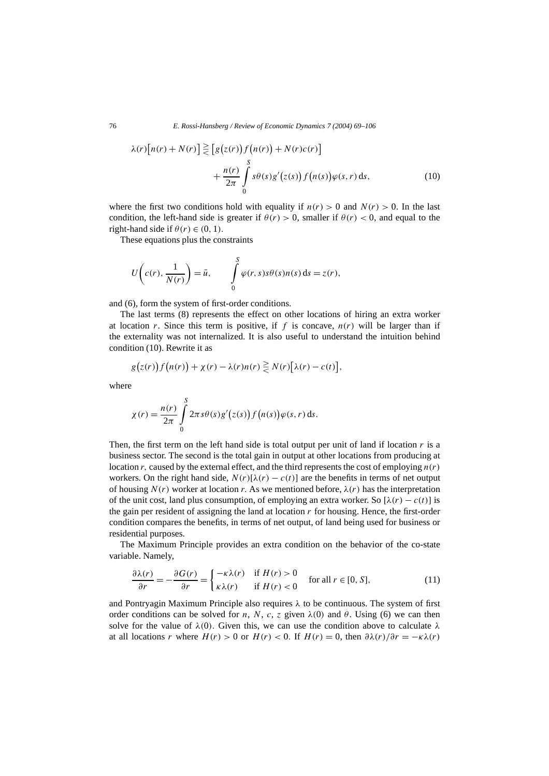$$
\lambda(r)\left[n(r) + N(r)\right] \geq \left[g(z(r))f(n(r)) + N(r)c(r)\right] + \frac{n(r)}{2\pi} \int_{0}^{S} s\theta(s)g'(z(s))f(n(s))\varphi(s,r) ds,
$$
\n(10)

where the first two conditions hold with equality if  $n(r) > 0$  and  $N(r) > 0$ . In the last condition, the left-hand side is greater if  $\theta(r) > 0$ , smaller if  $\theta(r) < 0$ , and equal to the right-hand side if  $\theta(r) \in (0, 1)$ .

These equations plus the constraints

$$
U\left(c(r),\frac{1}{N(r)}\right) = \bar{u}, \qquad \int\limits_{0}^{S} \varphi(r,s)s\theta(s)n(s) ds = z(r),
$$

and (6), form the system of first-order conditions.

The last terms (8) represents the effect on other locations of hiring an extra worker at location *r*. Since this term is positive, if *f* is concave,  $n(r)$  will be larger than if the externality was not internalized. It is also useful to understand the intuition behind condition (10). Rewrite it as

$$
g(z(r))f(n(r)) + \chi(r) - \lambda(r)n(r) \geq N(r)[\lambda(r) - c(t)],
$$

where

$$
\chi(r) = \frac{n(r)}{2\pi} \int\limits_{0}^{S} 2\pi s \theta(s) g'(z(s)) f(n(s)) \varphi(s, r) ds.
$$

Then, the first term on the left hand side is total output per unit of land if location *r* is a business sector. The second is the total gain in output at other locations from producing at location  $r$ , caused by the external effect, and the third represents the cost of employing  $n(r)$ workers. On the right hand side,  $N(r)[\lambda(r) - c(t)]$  are the benefits in terms of net output of housing  $N(r)$  worker at location *r*. As we mentioned before,  $\lambda(r)$  has the interpretation of the unit cost, land plus consumption, of employing an extra worker. So  $[\lambda(r) - c(t)]$  is the gain per resident of assigning the land at location *r* for housing. Hence, the first-order condition compares the benefits, in terms of net output, of land being used for business or residential purposes.

The Maximum Principle provides an extra condition on the behavior of the co-state variable. Namely,

$$
\frac{\partial \lambda(r)}{\partial r} = -\frac{\partial G(r)}{\partial r} = \begin{cases} -\kappa \lambda(r) & \text{if } H(r) > 0\\ \kappa \lambda(r) & \text{if } H(r) < 0 \end{cases} \text{ for all } r \in [0, S], \tag{11}
$$

and Pontryagin Maximum Principle also requires *λ* to be continuous. The system of first order conditions can be solved for *n*, *N*, *c*, *z* given  $\lambda$ (0) and  $\theta$ . Using (6) we can then solve for the value of  $\lambda(0)$ . Given this, we can use the condition above to calculate  $\lambda$ at all locations *r* where  $H(r) > 0$  or  $H(r) < 0$ . If  $H(r) = 0$ , then  $\partial \lambda(r)/\partial r = -\kappa \lambda(r)$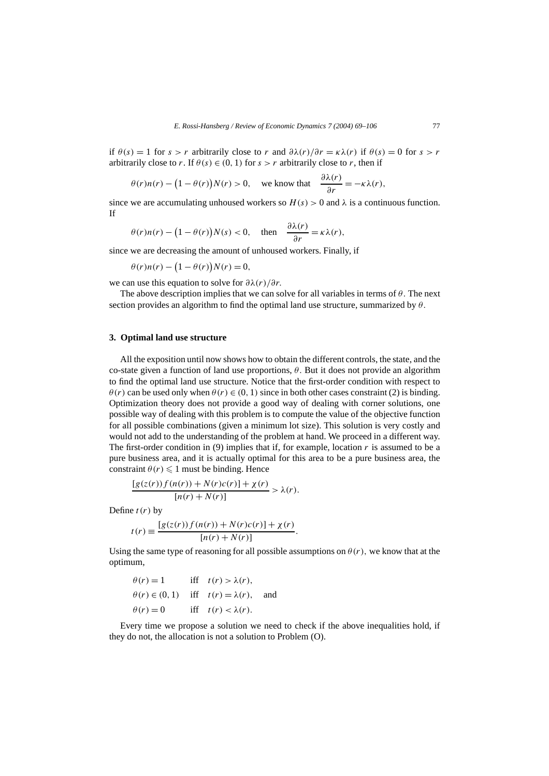if  $\theta(s) = 1$  for  $s > r$  arbitrarily close to *r* and  $\partial \lambda(r)/\partial r = \kappa \lambda(r)$  if  $\theta(s) = 0$  for  $s > r$ arbitrarily close to *r*. If  $\theta(s) \in (0, 1)$  for  $s > r$  arbitrarily close to *r*, then if

$$
\theta(r)n(r) - (1 - \theta(r))N(r) > 0
$$
, we know that  $\frac{\partial \lambda(r)}{\partial r} = -\kappa \lambda(r)$ ,

since we are accumulating unhoused workers so  $H(s) > 0$  and  $\lambda$  is a continuous function. If

$$
\theta(r)n(r) - (1 - \theta(r))N(s) < 0
$$
, then  $\frac{\partial \lambda(r)}{\partial r} = \kappa \lambda(r)$ ,

since we are decreasing the amount of unhoused workers. Finally, if

$$
\theta(r)n(r) - (1 - \theta(r))N(r) = 0,
$$

we can use this equation to solve for *∂λ(r)/∂r.*

The above description implies that we can solve for all variables in terms of *θ.* The next section provides an algorithm to find the optimal land use structure, summarized by *θ.*

#### **3. Optimal land use structure**

All the exposition until now shows how to obtain the different controls, the state, and the co-state given a function of land use proportions, *θ.* But it does not provide an algorithm to find the optimal land use structure. Notice that the first-order condition with respect to  $\theta(r)$  can be used only when  $\theta(r) \in (0, 1)$  since in both other cases constraint (2) is binding. Optimization theory does not provide a good way of dealing with corner solutions, one possible way of dealing with this problem is to compute the value of the objective function for all possible combinations (given a minimum lot size). This solution is very costly and would not add to the understanding of the problem at hand. We proceed in a different way. The first-order condition in (9) implies that if, for example, location  $r$  is assumed to be a pure business area, and it is actually optimal for this area to be a pure business area, the constraint  $\theta(r) \leq 1$  must be binding. Hence

$$
\frac{[g(z(r))f(n(r))+N(r)c(r)]+\chi(r)}{[n(r)+N(r)]} > \lambda(r).
$$

Define  $t(r)$  by

$$
t(r) \equiv \frac{[g(z(r))f(n(r)) + N(r)c(r)] + \chi(r)}{[n(r) + N(r)]}.
$$

Using the same type of reasoning for all possible assumptions on  $\theta(r)$ , we know that at the optimum,

$$
\theta(r) = 1 \quad \text{iff} \quad t(r) > \lambda(r),
$$
  
\n
$$
\theta(r) \in (0, 1) \quad \text{iff} \quad t(r) = \lambda(r), \quad \text{and}
$$
  
\n
$$
\theta(r) = 0 \quad \text{iff} \quad t(r) < \lambda(r).
$$

Every time we propose a solution we need to check if the above inequalities hold, if they do not, the allocation is not a solution to Problem (O).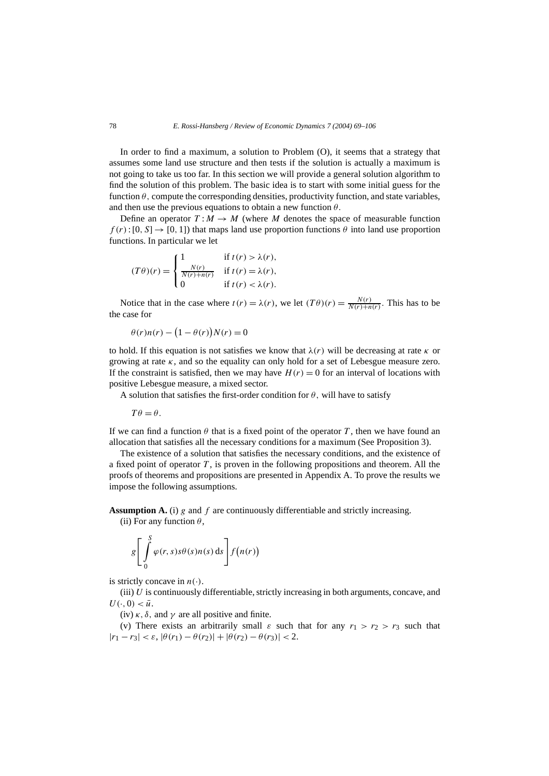In order to find a maximum, a solution to Problem (O), it seems that a strategy that assumes some land use structure and then tests if the solution is actually a maximum is not going to take us too far. In this section we will provide a general solution algorithm to find the solution of this problem. The basic idea is to start with some initial guess for the function  $\theta$ , compute the corresponding densities, productivity function, and state variables, and then use the previous equations to obtain a new function  $\theta$ .

Define an operator  $T: M \to M$  (where M denotes the space of measurable function  $f(r):[0, S] \to [0, 1]$  that maps land use proportion functions  $\theta$  into land use proportion functions. In particular we let

$$
(T\theta)(r) = \begin{cases} 1 & \text{if } t(r) > \lambda(r), \\ \frac{N(r)}{N(r) + n(r)} & \text{if } t(r) = \lambda(r), \\ 0 & \text{if } t(r) < \lambda(r). \end{cases}
$$

Notice that in the case where  $t(r) = \lambda(r)$ , we let  $(T\theta)(r) = \frac{N(r)}{N(r)+n(r)}$ . This has to be the case for

$$
\theta(r)n(r) - (1 - \theta(r))N(r) = 0
$$

to hold. If this equation is not satisfies we know that  $\lambda(r)$  will be decreasing at rate  $\kappa$  or growing at rate  $\kappa$ , and so the equality can only hold for a set of Lebesgue measure zero. If the constraint is satisfied, then we may have  $H(r) = 0$  for an interval of locations with positive Lebesgue measure, a mixed sector.

A solution that satisfies the first-order condition for  $\theta$ , will have to satisfy

$$
T\theta=\theta.
$$

If we can find a function  $\theta$  that is a fixed point of the operator *T*, then we have found an allocation that satisfies all the necessary conditions for a maximum (See Proposition 3).

The existence of a solution that satisfies the necessary conditions, and the existence of a fixed point of operator *T* , is proven in the following propositions and theorem. All the proofs of theorems and propositions are presented in Appendix A. To prove the results we impose the following assumptions.

**Assumption A.** (i) *g* and *f* are continuously differentiable and strictly increasing. (ii) For any function  $\theta$ ,

$$
g\left[\int\limits_{0}^{S}\varphi(r,s)s\theta(s)n(s)\,ds\right]f\big(n(r)\big)
$$

is strictly concave in  $n(\cdot)$ .

(iii) *U* is continuously differentiable, strictly increasing in both arguments, concave, and  $U(\cdot, 0) < \bar{u}$ .

(iv)  $\kappa$ ,  $\delta$ , and  $\gamma$  are all positive and finite.

(v) There exists an arbitrarily small  $\varepsilon$  such that for any  $r_1 > r_2 > r_3$  such that  $|r_1 - r_3| < \varepsilon$ ,  $|\theta(r_1) - \theta(r_2)| + |\theta(r_2) - \theta(r_3)| < 2$ .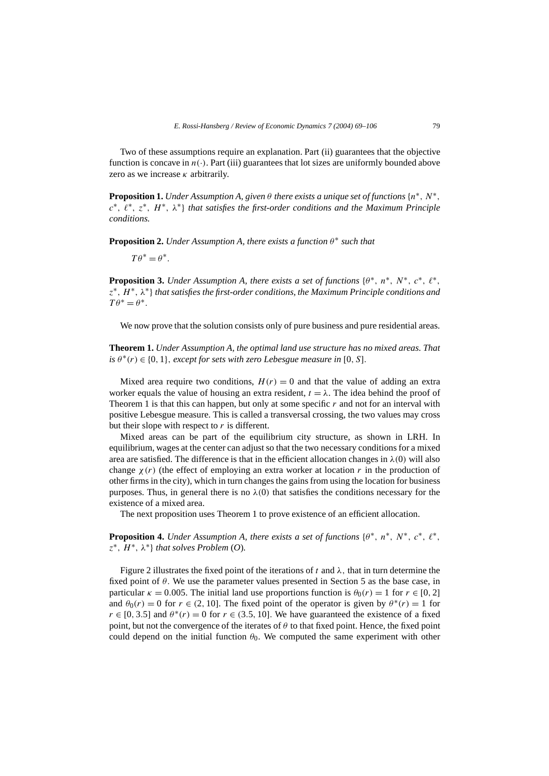Two of these assumptions require an explanation. Part (ii) guarantees that the objective function is concave in  $n(\cdot)$ . Part (iii) guarantees that lot sizes are uniformly bounded above zero as we increase *κ* arbitrarily.

**Proposition 1.** *Under Assumption A, given*  $\theta$  *there exists a unique set of functions*  $\{n^*, N^*,$ *c*∗*,* ∗*, z*∗*, H*∗*, λ*∗} *that satisfies the first-order conditions and the Maximum Principle conditions.*

**Proposition 2.** *Under Assumption A, there exists a function*  $\theta^*$  *such that* 

 $T\theta^* = \theta^*$ .

**Proposition 3.** *Under Assumption A, there exists a set of functions*  $\{\theta^*, n^*, N^*, c^*, \ell^*, \ell^*\}$ *z*∗*, H*∗*, λ*∗} *that satisfies the first-order conditions, the Maximum Principle conditions and*  $T\theta^* = \theta^*$ .

We now prove that the solution consists only of pure business and pure residential areas.

**Theorem 1.** *Under Assumption A, the optimal land use structure has no mixed areas. That is*  $\theta^*(r) \in \{0, 1\}$ , *except for sets with zero Lebesgue measure in* [0*, S*].

Mixed area require two conditions,  $H(r) = 0$  and that the value of adding an extra worker equals the value of housing an extra resident,  $t = \lambda$ . The idea behind the proof of Theorem 1 is that this can happen, but only at some specific *r* and not for an interval with positive Lebesgue measure. This is called a transversal crossing, the two values may cross but their slope with respect to *r* is different.

Mixed areas can be part of the equilibrium city structure, as shown in LRH. In equilibrium, wages at the center can adjust so that the two necessary conditions for a mixed area are satisfied. The difference is that in the efficient allocation changes in  $\lambda(0)$  will also change  $\chi(r)$  (the effect of employing an extra worker at location r in the production of other firms in the city), which in turn changes the gains from using the location for business purposes. Thus, in general there is no  $\lambda(0)$  that satisfies the conditions necessary for the existence of a mixed area.

The next proposition uses Theorem 1 to prove existence of an efficient allocation.

**Proposition 4.** *Under Assumption A, there exists a set of functions*  $\{\theta^*, n^*, N^*, c^*, \ell^*,$ *z*∗*, H*∗*, λ*∗} *that solves Problem* (*O*)*.*

Figure 2 illustrates the fixed point of the iterations of *t* and *λ,* that in turn determine the fixed point of  $\theta$ . We use the parameter values presented in Section 5 as the base case, in particular  $\kappa = 0.005$ . The initial land use proportions function is  $\theta_0(r) = 1$  for  $r \in [0, 2]$ and  $\theta_0(r) = 0$  for  $r \in (2, 10]$ . The fixed point of the operator is given by  $\theta^*(r) = 1$  for  $r \in [0, 3.5]$  and  $\theta^*(r) = 0$  for  $r \in (3.5, 10]$ . We have guaranteed the existence of a fixed point, but not the convergence of the iterates of  $\theta$  to that fixed point. Hence, the fixed point could depend on the initial function  $\theta_0$ . We computed the same experiment with other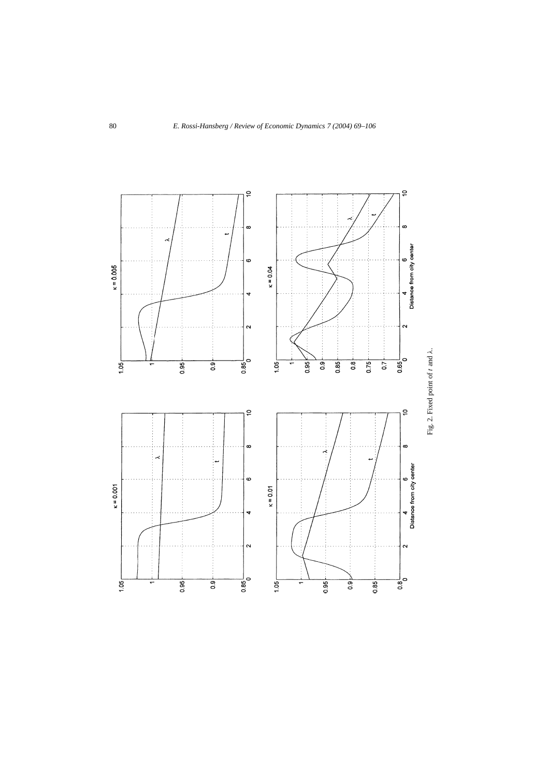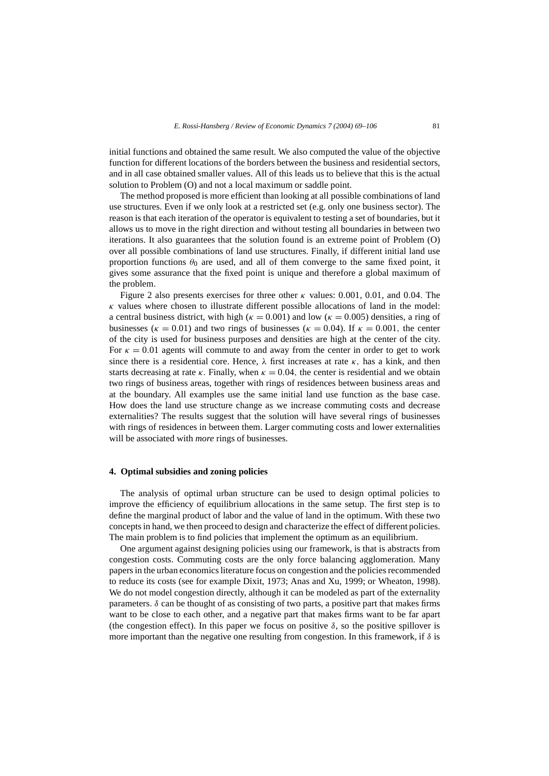initial functions and obtained the same result. We also computed the value of the objective function for different locations of the borders between the business and residential sectors, and in all case obtained smaller values. All of this leads us to believe that this is the actual solution to Problem (O) and not a local maximum or saddle point.

The method proposed is more efficient than looking at all possible combinations of land use structures. Even if we only look at a restricted set (e.g. only one business sector). The reason is that each iteration of the operator is equivalent to testing a set of boundaries, but it allows us to move in the right direction and without testing all boundaries in between two iterations. It also guarantees that the solution found is an extreme point of Problem (O) over all possible combinations of land use structures. Finally, if different initial land use proportion functions  $\theta_0$  are used, and all of them converge to the same fixed point, it gives some assurance that the fixed point is unique and therefore a global maximum of the problem.

Figure 2 also presents exercises for three other *κ* values: 0*.*001, 0*.*01, and 0*.*04*.* The *κ* values where chosen to illustrate different possible allocations of land in the model: a central business district, with high ( $\kappa = 0.001$ ) and low ( $\kappa = 0.005$ ) densities, a ring of businesses ( $\kappa = 0.01$ ) and two rings of businesses ( $\kappa = 0.04$ ). If  $\kappa = 0.001$ , the center of the city is used for business purposes and densities are high at the center of the city. For  $\kappa = 0.01$  agents will commute to and away from the center in order to get to work since there is a residential core. Hence,  $\lambda$  first increases at rate  $\kappa$ , has a kink, and then starts decreasing at rate *κ*. Finally, when  $\kappa = 0.04$ , the center is residential and we obtain two rings of business areas, together with rings of residences between business areas and at the boundary. All examples use the same initial land use function as the base case. How does the land use structure change as we increase commuting costs and decrease externalities? The results suggest that the solution will have several rings of businesses with rings of residences in between them. Larger commuting costs and lower externalities will be associated with *more* rings of businesses.

## **4. Optimal subsidies and zoning policies**

The analysis of optimal urban structure can be used to design optimal policies to improve the efficiency of equilibrium allocations in the same setup. The first step is to define the marginal product of labor and the value of land in the optimum. With these two concepts in hand, we then proceed to design and characterize the effect of different policies. The main problem is to find policies that implement the optimum as an equilibrium.

One argument against designing policies using our framework, is that is abstracts from congestion costs. Commuting costs are the only force balancing agglomeration. Many papers in the urban economics literature focus on congestion and the policies recommended to reduce its costs (see for example Dixit, 1973; Anas and Xu, 1999; or Wheaton, 1998). We do not model congestion directly, although it can be modeled as part of the externality parameters*. δ* can be thought of as consisting of two parts, a positive part that makes firms want to be close to each other, and a negative part that makes firms want to be far apart (the congestion effect). In this paper we focus on positive  $\delta$ , so the positive spillover is more important than the negative one resulting from congestion. In this framework, if *δ* is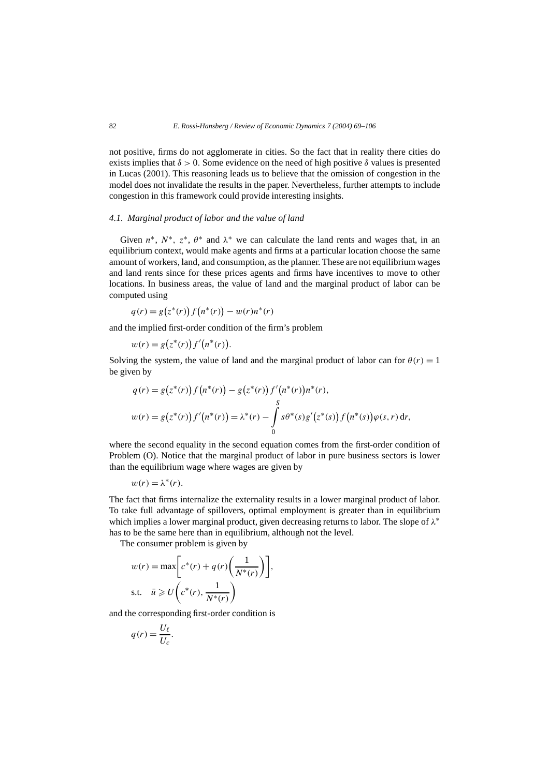not positive, firms do not agglomerate in cities. So the fact that in reality there cities do exists implies that  $\delta > 0$ . Some evidence on the need of high positive  $\delta$  values is presented in Lucas (2001). This reasoning leads us to believe that the omission of congestion in the model does not invalidate the results in the paper. Nevertheless, further attempts to include congestion in this framework could provide interesting insights.

## *4.1. Marginal product of labor and the value of land*

Given  $n^*$ ,  $N^*$ ,  $z^*$ ,  $\theta^*$  and  $\lambda^*$  we can calculate the land rents and wages that, in an equilibrium context, would make agents and firms at a particular location choose the same amount of workers, land, and consumption, as the planner. These are not equilibrium wages and land rents since for these prices agents and firms have incentives to move to other locations. In business areas, the value of land and the marginal product of labor can be computed using

$$
q(r) = g(z^*(r)) f(n^*(r)) - w(r)n^*(r)
$$

and the implied first-order condition of the firm's problem

$$
w(r) = g(z^*(r))f'(n^*(r)).
$$

Solving the system, the value of land and the marginal product of labor can for  $\theta(r) = 1$ be given by

$$
q(r) = g(z^*(r)) f(n^*(r)) - g(z^*(r)) f'(n^*(r)) n^*(r),
$$
  
\n
$$
w(r) = g(z^*(r)) f'(n^*(r)) = \lambda^*(r) - \int_0^s s\theta^*(s) g'(z^*(s)) f(n^*(s)) \varphi(s, r) dr,
$$

where the second equality in the second equation comes from the first-order condition of Problem (O). Notice that the marginal product of labor in pure business sectors is lower than the equilibrium wage where wages are given by

$$
w(r) = \lambda^*(r).
$$

The fact that firms internalize the externality results in a lower marginal product of labor. To take full advantage of spillovers, optimal employment is greater than in equilibrium which implies a lower marginal product, given decreasing returns to labor. The slope of *λ*<sup>∗</sup> has to be the same here than in equilibrium, although not the level.

The consumer problem is given by

$$
w(r) = \max\bigg[c^*(r) + q(r)\bigg(\frac{1}{N^*(r)}\bigg)\bigg],
$$
  
s.t.  $\bar{u} \ge U\bigg(c^*(r), \frac{1}{N^*(r)}\bigg)$ 

and the corresponding first-order condition is

$$
q(r) = \frac{U_{\ell}}{U_c}.
$$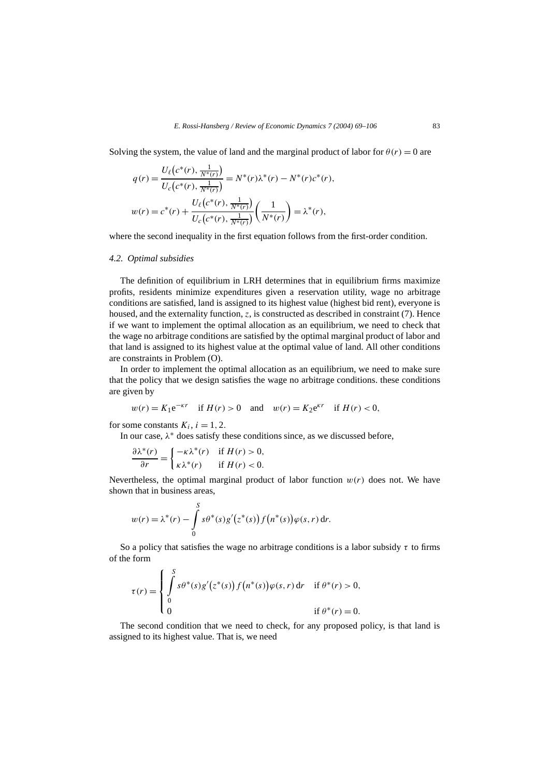Solving the system, the value of land and the marginal product of labor for  $\theta(r) = 0$  are

$$
q(r) = \frac{U_{\ell}(c^*(r), \frac{1}{N^*(r)})}{U_c(c^*(r), \frac{1}{N^*(r)})} = N^*(r)\lambda^*(r) - N^*(r)c^*(r),
$$
  

$$
w(r) = c^*(r) + \frac{U_{\ell}(c^*(r), \frac{1}{N^*(r)})}{U_c(c^*(r), \frac{1}{N^*(r)})} \left(\frac{1}{N^*(r)}\right) = \lambda^*(r),
$$

where the second inequality in the first equation follows from the first-order condition.

#### *4.2. Optimal subsidies*

The definition of equilibrium in LRH determines that in equilibrium firms maximize profits, residents minimize expenditures given a reservation utility, wage no arbitrage conditions are satisfied, land is assigned to its highest value (highest bid rent), everyone is housed, and the externality function, *z*, is constructed as described in constraint (7). Hence if we want to implement the optimal allocation as an equilibrium, we need to check that the wage no arbitrage conditions are satisfied by the optimal marginal product of labor and that land is assigned to its highest value at the optimal value of land. All other conditions are constraints in Problem (O).

In order to implement the optimal allocation as an equilibrium, we need to make sure that the policy that we design satisfies the wage no arbitrage conditions. these conditions are given by

$$
w(r) = K_1 e^{-\kappa r}
$$
 if  $H(r) > 0$  and  $w(r) = K_2 e^{\kappa r}$  if  $H(r) < 0$ ,

for some constants  $K_i$ ,  $i = 1, 2$ .

In our case,  $\lambda^*$  does satisfy these conditions since, as we discussed before,

$$
\frac{\partial \lambda^*(r)}{\partial r} = \begin{cases} -\kappa \lambda^*(r) & \text{if } H(r) > 0, \\ \kappa \lambda^*(r) & \text{if } H(r) < 0. \end{cases}
$$

Nevertheless, the optimal marginal product of labor function  $w(r)$  does not. We have shown that in business areas,

$$
w(r) = \lambda^*(r) - \int_0^S s\theta^*(s)g'(z^*(s)) f(n^*(s))\varphi(s,r) dr.
$$

So a policy that satisfies the wage no arbitrage conditions is a labor subsidy  $\tau$  to firms of the form

$$
\tau(r) = \begin{cases} \int\limits_0^S s\theta^*(s)g'(z^*(s))f(n^*(s))\varphi(s,r) \, dr & \text{if } \theta^*(r) > 0, \\ 0 & \text{if } \theta^*(r) = 0. \end{cases}
$$

The second condition that we need to check, for any proposed policy, is that land is assigned to its highest value. That is, we need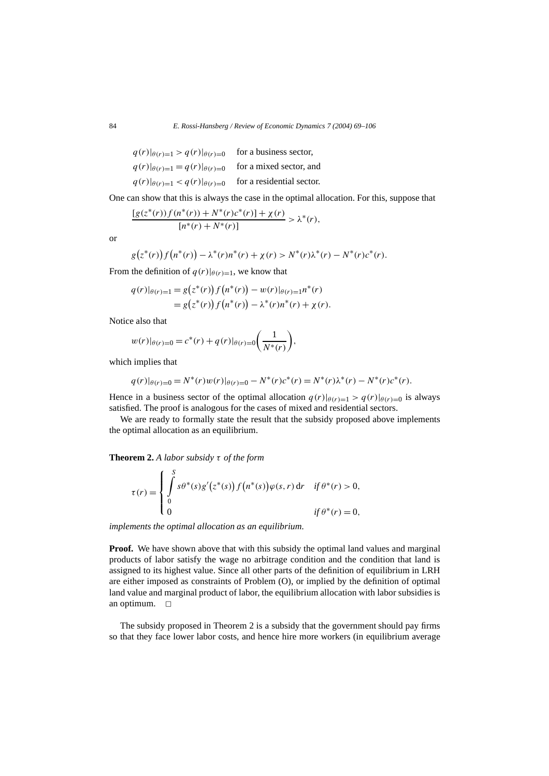$$
q(r)|_{\theta(r)=1} > q(r)|_{\theta(r)=0}
$$
 for a business sector,  
 
$$
q(r)|_{\theta(r)=1} = q(r)|_{\theta(r)=0}
$$
 for a mixed sector, and  
 
$$
q(r)|_{\theta(r)=1} < q(r)|_{\theta(r)=0}
$$
 for a residual sector.

One can show that this is always the case in the optimal allocation. For this, suppose that

$$
\frac{[g(z^*(r))f(n^*(r)) + N^*(r)c^*(r)] + \chi(r)}{[n^*(r) + N^*(r)]} > \lambda^*(r),
$$

or

$$
g(z^*(r))f(n^*(r)) - \lambda^*(r)n^*(r) + \chi(r) > N^*(r)\lambda^*(r) - N^*(r)c^*(r).
$$

From the definition of  $q(r)|_{\theta(r)=1}$ , we know that

$$
q(r)|_{\theta(r)=1} = g(z^*(r))f(n^*(r)) - w(r)|_{\theta(r)=1}n^*(r)
$$
  
=  $g(z^*(r))f(n^*(r)) - \lambda^*(r)n^*(r) + \chi(r).$ 

Notice also that

$$
w(r)|_{\theta(r)=0} = c^*(r) + q(r)|_{\theta(r)=0} \left(\frac{1}{N^*(r)}\right),
$$

which implies that

$$
q(r)|_{\theta(r)=0} = N^*(r)w(r)|_{\theta(r)=0} - N^*(r)c^*(r) = N^*(r)\lambda^*(r) - N^*(r)c^*(r).
$$

Hence in a business sector of the optimal allocation  $q(r)|_{\theta(r)=1} > q(r)|_{\theta(r)=0}$  is always satisfied. The proof is analogous for the cases of mixed and residential sectors.

We are ready to formally state the result that the subsidy proposed above implements the optimal allocation as an equilibrium.

**Theorem 2.** *A labor subsidy τ of the form*

$$
\tau(r) = \begin{cases} \int\limits_0^S s\theta^*(s)g'(z^*(s))f(n^*(s))\varphi(s,r) \, dr & \text{if } \theta^*(r) > 0, \\ 0 & \text{if } \theta^*(r) = 0, \end{cases}
$$

*implements the optimal allocation as an equilibrium.*

**Proof.** We have shown above that with this subsidy the optimal land values and marginal products of labor satisfy the wage no arbitrage condition and the condition that land is assigned to its highest value. Since all other parts of the definition of equilibrium in LRH are either imposed as constraints of Problem (O), or implied by the definition of optimal land value and marginal product of labor, the equilibrium allocation with labor subsidies is an optimum.  $\square$ 

The subsidy proposed in Theorem 2 is a subsidy that the government should pay firms so that they face lower labor costs, and hence hire more workers (in equilibrium average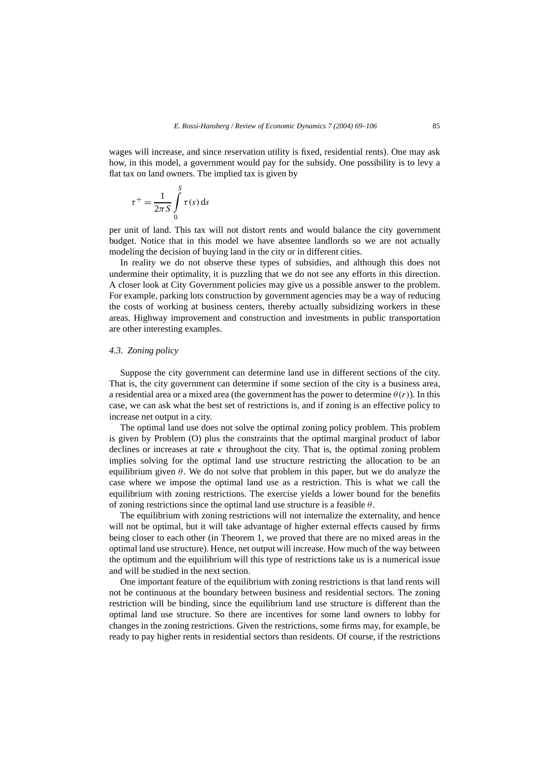wages will increase, and since reservation utility is fixed, residential rents). One may ask how, in this model, a government would pay for the subsidy. One possibility is to levy a flat tax on land owners. The implied tax is given by

$$
\tau^{+} = \frac{1}{2\pi S} \int_{0}^{S} \tau(s) \, \mathrm{d}s
$$

per unit of land. This tax will not distort rents and would balance the city government budget. Notice that in this model we have absentee landlords so we are not actually modeling the decision of buying land in the city or in different cities.

In reality we do not observe these types of subsidies, and although this does not undermine their optimality, it is puzzling that we do not see any efforts in this direction. A closer look at City Government policies may give us a possible answer to the problem. For example, parking lots construction by government agencies may be a way of reducing the costs of working at business centers, thereby actually subsidizing workers in these areas. Highway improvement and construction and investments in public transportation are other interesting examples.

#### *4.3. Zoning policy*

Suppose the city government can determine land use in different sections of the city. That is, the city government can determine if some section of the city is a business area, a residential area or a mixed area (the government has the power to determine *θ (r)*). In this case, we can ask what the best set of restrictions is, and if zoning is an effective policy to increase net output in a city.

The optimal land use does not solve the optimal zoning policy problem. This problem is given by Problem (O) plus the constraints that the optimal marginal product of labor declines or increases at rate *κ* throughout the city. That is, the optimal zoning problem implies solving for the optimal land use structure restricting the allocation to be an equilibrium given  $\theta$ . We do not solve that problem in this paper, but we do analyze the case where we impose the optimal land use as a restriction. This is what we call the equilibrium with zoning restrictions. The exercise yields a lower bound for the benefits of zoning restrictions since the optimal land use structure is a feasible *θ* .

The equilibrium with zoning restrictions will not internalize the externality, and hence will not be optimal, but it will take advantage of higher external effects caused by firms being closer to each other (in Theorem 1, we proved that there are no mixed areas in the optimal land use structure). Hence, net output will increase. How much of the way between the optimum and the equilibrium will this type of restrictions take us is a numerical issue and will be studied in the next section.

One important feature of the equilibrium with zoning restrictions is that land rents will not be continuous at the boundary between business and residential sectors. The zoning restriction will be binding, since the equilibrium land use structure is different than the optimal land use structure. So there are incentives for some land owners to lobby for changes in the zoning restrictions. Given the restrictions, some firms may, for example, be ready to pay higher rents in residential sectors than residents. Of course, if the restrictions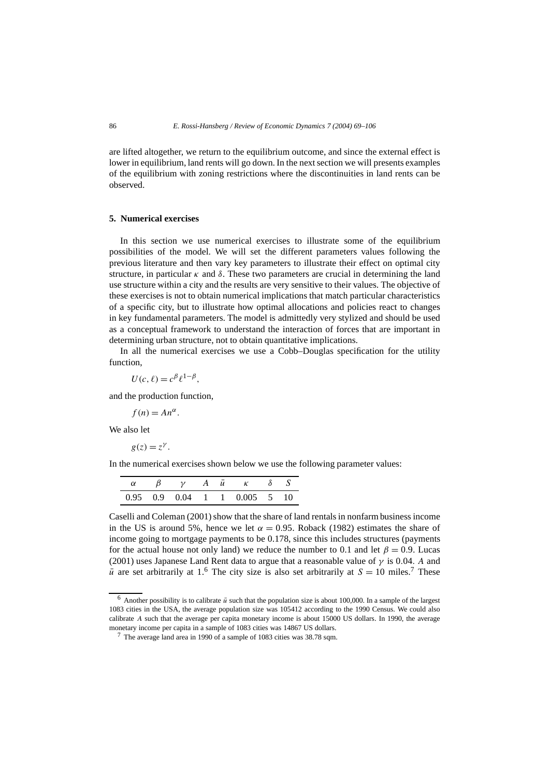are lifted altogether, we return to the equilibrium outcome, and since the external effect is lower in equilibrium, land rents will go down. In the next section we will presents examples of the equilibrium with zoning restrictions where the discontinuities in land rents can be observed.

## **5. Numerical exercises**

In this section we use numerical exercises to illustrate some of the equilibrium possibilities of the model. We will set the different parameters values following the previous literature and then vary key parameters to illustrate their effect on optimal city structure, in particular  $\kappa$  and  $\delta$ . These two parameters are crucial in determining the land use structure within a city and the results are very sensitive to their values. The objective of these exercises is not to obtain numerical implications that match particular characteristics of a specific city, but to illustrate how optimal allocations and policies react to changes in key fundamental parameters. The model is admittedly very stylized and should be used as a conceptual framework to understand the interaction of forces that are important in determining urban structure, not to obtain quantitative implications.

In all the numerical exercises we use a Cobb–Douglas specification for the utility function,

$$
U(c, \ell) = c^{\beta} \ell^{1-\beta},
$$

and the production function,

 $f(n) = An^{\alpha}$ .

We also let

$$
g(z) = z^{\gamma}.
$$

In the numerical exercises shown below we use the following parameter values:

|  |  | $\alpha$ $\beta$ $\gamma$ $A$ $\bar{u}$ $\kappa$ $\delta$ $S$ |  |
|--|--|---------------------------------------------------------------|--|
|  |  | 0.95 0.9 0.04 1 1 0.005 5 10                                  |  |

Caselli and Coleman (2001) show that the share of land rentals in nonfarm business income in the US is around 5%, hence we let  $\alpha = 0.95$ . Roback (1982) estimates the share of income going to mortgage payments to be 0.178, since this includes structures (payments for the actual house not only land) we reduce the number to 0.1 and let  $\beta = 0.9$ . Lucas (2001) uses Japanese Land Rent data to argue that a reasonable value of *γ* is 0*.*04*. A* and  $\bar{u}$  are set arbitrarily at 1.<sup>6</sup> The city size is also set arbitrarily at  $S = 10$  miles.<sup>7</sup> These

<sup>&</sup>lt;sup>6</sup> Another possibility is to calibrate  $\bar{u}$  such that the population size is about 100,000. In a sample of the largest 1083 cities in the USA, the average population size was 105412 according to the 1990 Census. We could also calibrate *A* such that the average per capita monetary income is about 15000 US dollars. In 1990, the average monetary income per capita in a sample of 1083 cities was 14867 US dollars.

<sup>7</sup> The average land area in 1990 of a sample of 1083 cities was 38.78 sqm.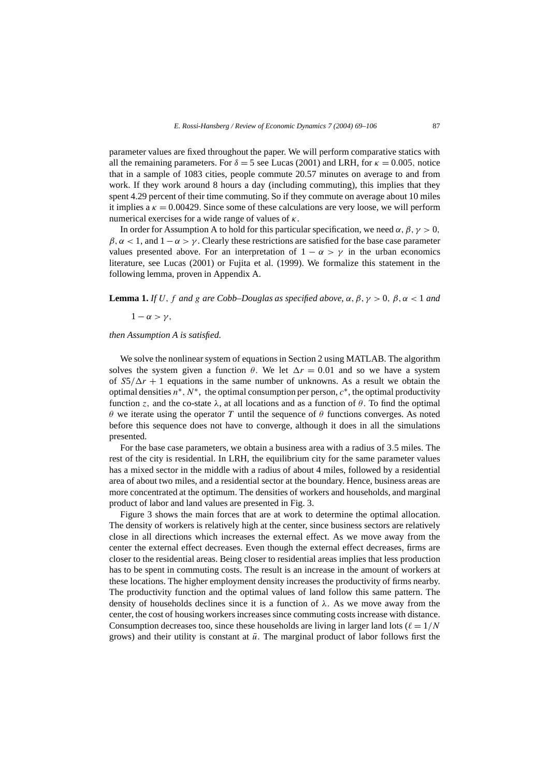parameter values are fixed throughout the paper. We will perform comparative statics with all the remaining parameters. For  $\delta = 5$  see Lucas (2001) and LRH, for  $\kappa = 0.005$ , notice that in a sample of 1083 cities, people commute 20.57 minutes on average to and from work. If they work around 8 hours a day (including commuting), this implies that they spent 4.29 percent of their time commuting. So if they commute on average about 10 miles it implies a  $\kappa = 0.00429$ . Since some of these calculations are very loose, we will perform numerical exercises for a wide range of values of *κ*.

In order for Assumption A to hold for this particular specification, we need  $\alpha$ ,  $\beta$ ,  $\gamma > 0$ ,  $\beta, \alpha < 1$ , and  $1 - \alpha > \gamma$ . Clearly these restrictions are satisfied for the base case parameter values presented above. For an interpretation of  $1 - \alpha > \gamma$  in the urban economics literature, see Lucas (2001) or Fujita et al. (1999). We formalize this statement in the following lemma, proven in Appendix A.

**Lemma 1.** *If U*, *f* and *g* are Cobb–Douglas as specified above,  $\alpha$ ,  $\beta$ ,  $\gamma > 0$ ,  $\beta$ ,  $\alpha < 1$  and

 $1 - \alpha > \gamma$ ,

#### *then Assumption A is satisfied.*

We solve the nonlinear system of equations in Section 2 using MATLAB. The algorithm solves the system given a function  $\theta$ . We let  $\Delta r = 0.01$  and so we have a system of  $S5/\Delta r + 1$  equations in the same number of unknowns. As a result we obtain the optimal densities *n*∗*, N*∗, the optimal consumption per person, *c*∗, the optimal productivity function *z,* and the co-state *λ*, at all locations and as a function of *θ.* To find the optimal *θ* we iterate using the operator *T* until the sequence of *θ* functions converges. As noted before this sequence does not have to converge, although it does in all the simulations presented.

For the base case parameters, we obtain a business area with a radius of 3*.*5 miles. The rest of the city is residential. In LRH, the equilibrium city for the same parameter values has a mixed sector in the middle with a radius of about 4 miles, followed by a residential area of about two miles, and a residential sector at the boundary. Hence, business areas are more concentrated at the optimum. The densities of workers and households, and marginal product of labor and land values are presented in Fig. 3.

Figure 3 shows the main forces that are at work to determine the optimal allocation. The density of workers is relatively high at the center, since business sectors are relatively close in all directions which increases the external effect. As we move away from the center the external effect decreases. Even though the external effect decreases, firms are closer to the residential areas. Being closer to residential areas implies that less production has to be spent in commuting costs. The result is an increase in the amount of workers at these locations. The higher employment density increases the productivity of firms nearby. The productivity function and the optimal values of land follow this same pattern. The density of households declines since it is a function of  $\lambda$ . As we move away from the center, the cost of housing workers increases since commuting costs increase with distance. Consumption decreases too, since these households are living in larger land lots  $(\ell = 1/N)$ grows) and their utility is constant at  $\bar{u}$ . The marginal product of labor follows first the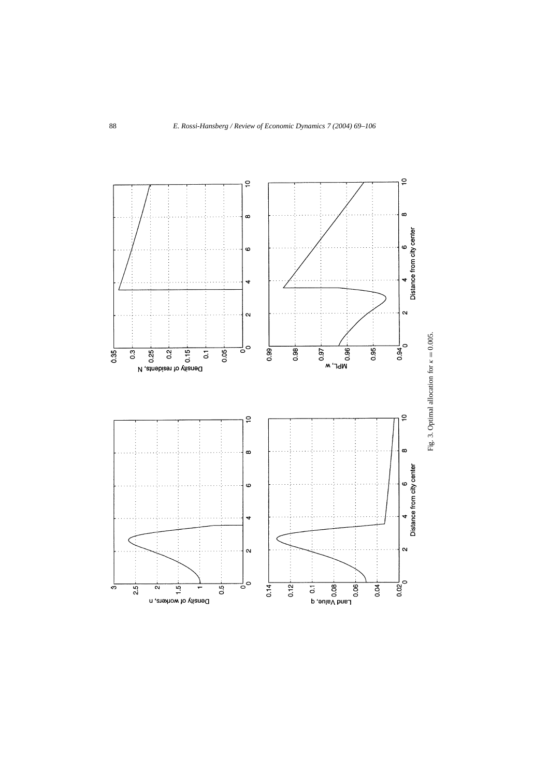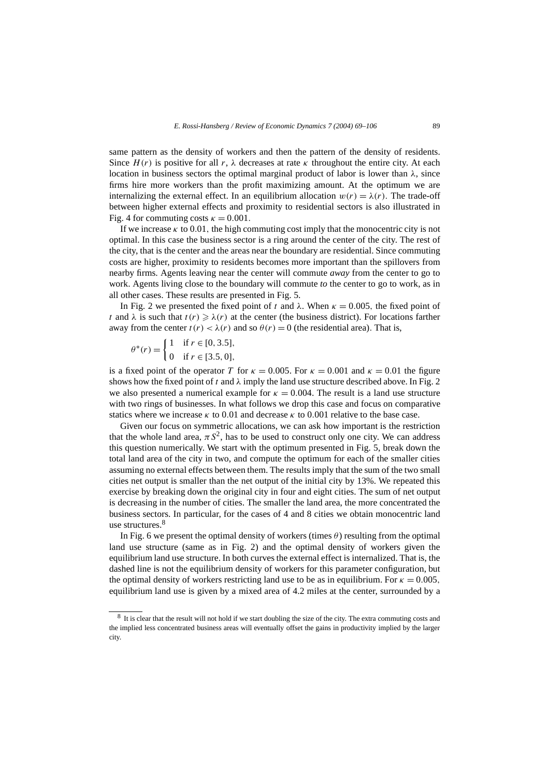same pattern as the density of workers and then the pattern of the density of residents. Since  $H(r)$  is positive for all r,  $\lambda$  decreases at rate  $\kappa$  throughout the entire city. At each location in business sectors the optimal marginal product of labor is lower than *λ*, since firms hire more workers than the profit maximizing amount. At the optimum we are internalizing the external effect. In an equilibrium allocation  $w(r) = \lambda(r)$ . The trade-off between higher external effects and proximity to residential sectors is also illustrated in Fig. 4 for commuting costs  $\kappa = 0.001$ .

If we increase  $\kappa$  to 0.01, the high commuting cost imply that the monocentric city is not optimal. In this case the business sector is a ring around the center of the city. The rest of the city, that is the center and the areas near the boundary are residential. Since commuting costs are higher, proximity to residents becomes more important than the spillovers from nearby firms. Agents leaving near the center will commute *away* from the center to go to work. Agents living close to the boundary will commute *to* the center to go to work, as in all other cases. These results are presented in Fig. 5.

In Fig. 2 we presented the fixed point of *t* and  $\lambda$ . When  $\kappa = 0.005$ , the fixed point of *t* and  $\lambda$  is such that  $t(r) \geq \lambda(r)$  at the center (the business district). For locations farther away from the center  $t(r) < \lambda(r)$  and so  $\theta(r) = 0$  (the residential area). That is,

$$
\theta^*(r) = \begin{cases} 1 & \text{if } r \in [0, 3.5], \\ 0 & \text{if } r \in [3.5, 0], \end{cases}
$$

is a fixed point of the operator *T* for  $\kappa = 0.005$ . For  $\kappa = 0.001$  and  $\kappa = 0.01$  the figure shows how the fixed point of *t* and  $\lambda$  imply the land use structure described above. In Fig. 2 we also presented a numerical example for  $\kappa = 0.004$ . The result is a land use structure with two rings of businesses. In what follows we drop this case and focus on comparative statics where we increase *κ* to 0*.*01 and decrease *κ* to 0*.*001 relative to the base case.

Given our focus on symmetric allocations, we can ask how important is the restriction that the whole land area,  $\pi S^2$ , has to be used to construct only one city. We can address this question numerically. We start with the optimum presented in Fig. 5, break down the total land area of the city in two, and compute the optimum for each of the smaller cities assuming no external effects between them. The results imply that the sum of the two small cities net output is smaller than the net output of the initial city by 13%. We repeated this exercise by breaking down the original city in four and eight cities. The sum of net output is decreasing in the number of cities. The smaller the land area, the more concentrated the business sectors. In particular, for the cases of 4 and 8 cities we obtain monocentric land use structures.<sup>8</sup>

In Fig. 6 we present the optimal density of workers (times  $\theta$ ) resulting from the optimal land use structure (same as in Fig. 2) and the optimal density of workers given the equilibrium land use structure. In both curves the external effect is internalized. That is, the dashed line is not the equilibrium density of workers for this parameter configuration, but the optimal density of workers restricting land use to be as in equilibrium. For  $\kappa = 0.005$ , equilibrium land use is given by a mixed area of 4.2 miles at the center, surrounded by a

<sup>8</sup> It is clear that the result will not hold if we start doubling the size of the city. The extra commuting costs and the implied less concentrated business areas will eventually offset the gains in productivity implied by the larger city.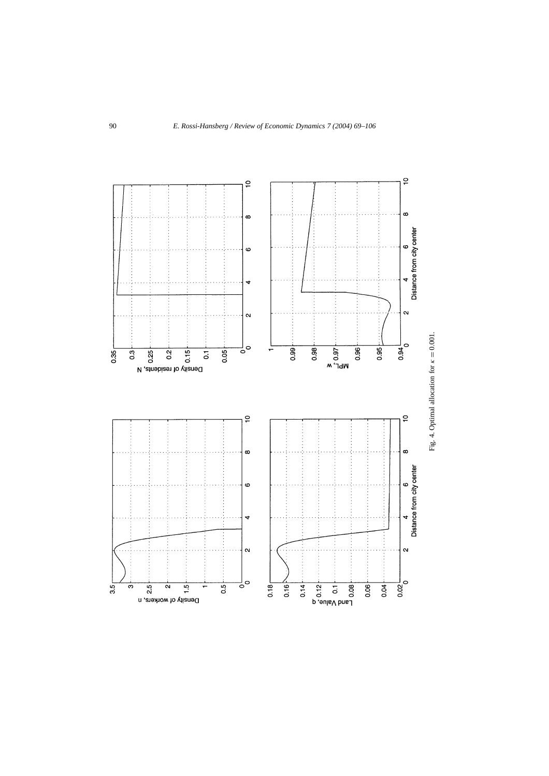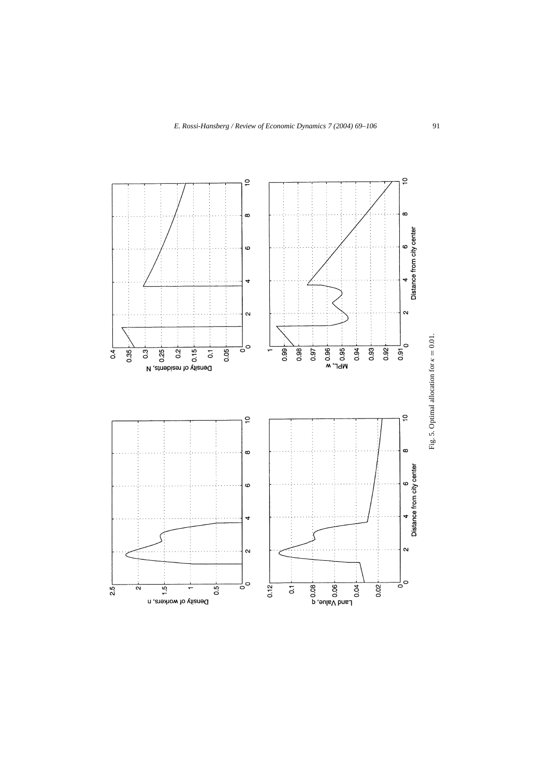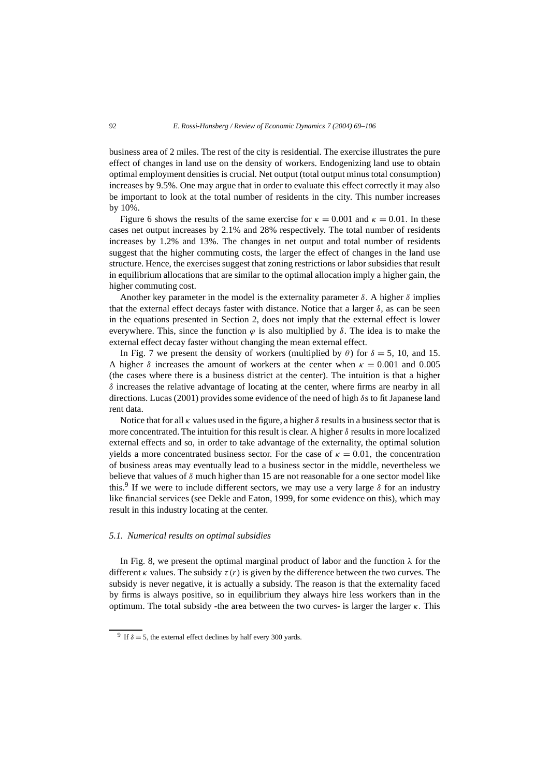business area of 2 miles. The rest of the city is residential. The exercise illustrates the pure effect of changes in land use on the density of workers. Endogenizing land use to obtain optimal employment densities is crucial. Net output (total output minus total consumption) increases by 9.5%. One may argue that in order to evaluate this effect correctly it may also be important to look at the total number of residents in the city. This number increases by 10%.

Figure 6 shows the results of the same exercise for  $\kappa = 0.001$  and  $\kappa = 0.01$ . In these cases net output increases by 2.1% and 28% respectively. The total number of residents increases by 1.2% and 13%. The changes in net output and total number of residents suggest that the higher commuting costs, the larger the effect of changes in the land use structure. Hence, the exercises suggest that zoning restrictions or labor subsidies that result in equilibrium allocations that are similar to the optimal allocation imply a higher gain, the higher commuting cost.

Another key parameter in the model is the externality parameter *δ.* A higher *δ* implies that the external effect decays faster with distance. Notice that a larger  $\delta$ , as can be seen in the equations presented in Section 2, does not imply that the external effect is lower everywhere. This, since the function  $\varphi$  is also multiplied by  $\delta$ . The idea is to make the external effect decay faster without changing the mean external effect.

In Fig. 7 we present the density of workers (multiplied by  $\theta$ ) for  $\delta = 5$ , 10, and 15. A higher  $\delta$  increases the amount of workers at the center when  $\kappa = 0.001$  and 0.005 (the cases where there is a business district at the center). The intuition is that a higher  $\delta$  increases the relative advantage of locating at the center, where firms are nearby in all directions. Lucas (2001) provides some evidence of the need of high *δ*s to fit Japanese land rent data.

Notice that for all *κ* values used in the figure, a higher *δ* results in a business sector that is more concentrated. The intuition for this result is clear. A higher *δ* results in more localized external effects and so, in order to take advantage of the externality, the optimal solution yields a more concentrated business sector. For the case of  $\kappa = 0.01$ , the concentration of business areas may eventually lead to a business sector in the middle, nevertheless we believe that values of *δ* much higher than 15 are not reasonable for a one sector model like this.<sup>9</sup> If we were to include different sectors, we may use a very large  $\delta$  for an industry like financial services (see Dekle and Eaton, 1999, for some evidence on this), which may result in this industry locating at the center.

## *5.1. Numerical results on optimal subsidies*

In Fig. 8, we present the optimal marginal product of labor and the function  $\lambda$  for the different *κ* values. The subsidy *τ (r)* is given by the difference between the two curves. The subsidy is never negative, it is actually a subsidy. The reason is that the externality faced by firms is always positive, so in equilibrium they always hire less workers than in the optimum. The total subsidy -the area between the two curves- is larger the larger  $\kappa$ . This

<sup>&</sup>lt;sup>9</sup> If  $\delta = 5$ , the external effect declines by half every 300 yards.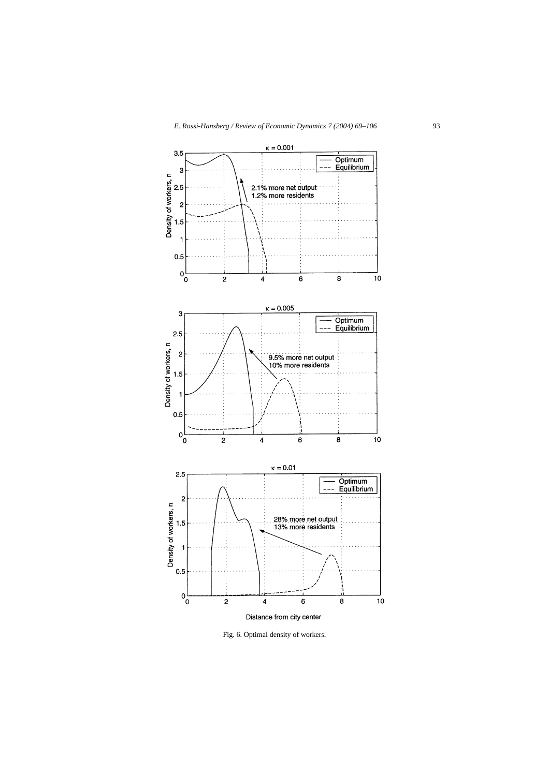

Fig. 6. Optimal density of workers.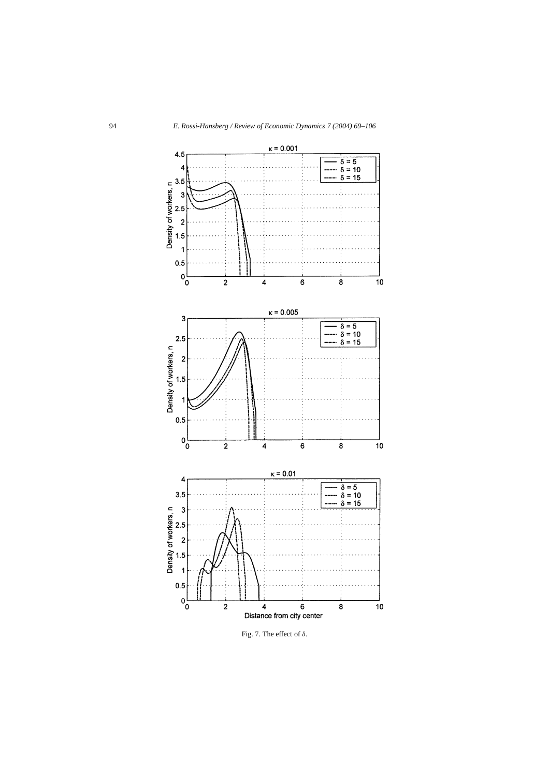

Fig. 7. The effect of *δ*.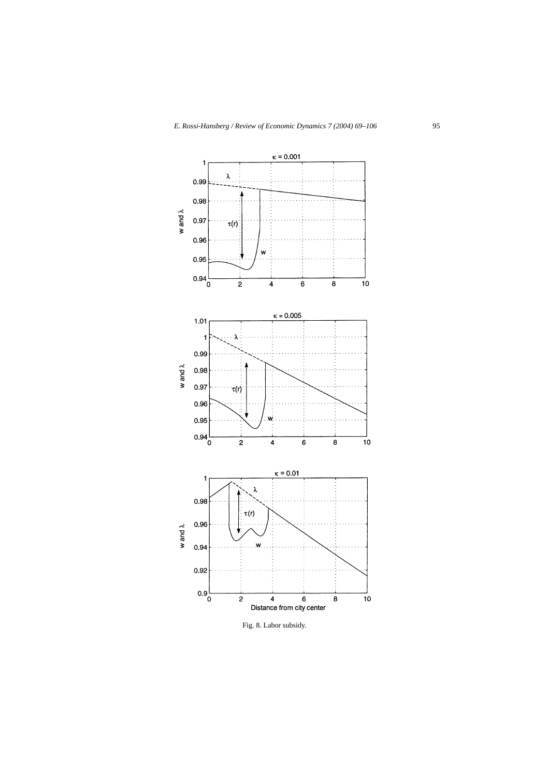

Fig. 8. Labor subsidy.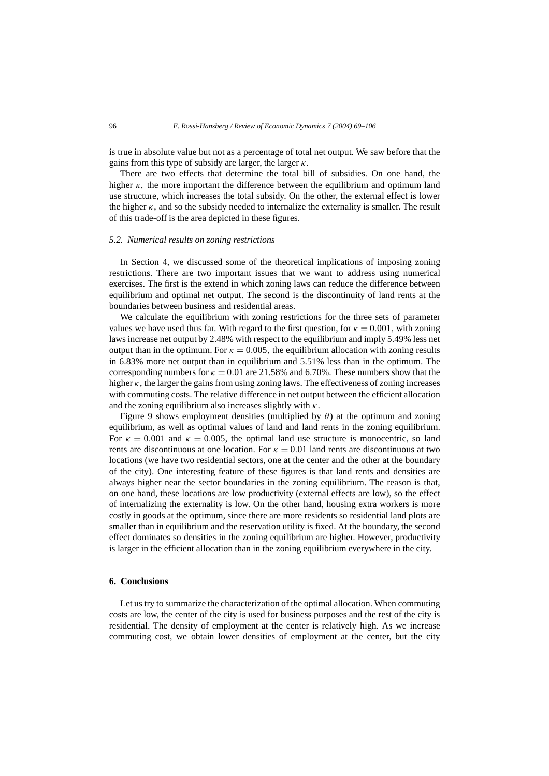is true in absolute value but not as a percentage of total net output. We saw before that the gains from this type of subsidy are larger, the larger *κ.*

There are two effects that determine the total bill of subsidies. On one hand, the higher  $\kappa$ , the more important the difference between the equilibrium and optimum land use structure, which increases the total subsidy. On the other, the external effect is lower the higher  $\kappa$ , and so the subsidy needed to internalize the externality is smaller. The result of this trade-off is the area depicted in these figures.

## *5.2. Numerical results on zoning restrictions*

In Section 4, we discussed some of the theoretical implications of imposing zoning restrictions. There are two important issues that we want to address using numerical exercises. The first is the extend in which zoning laws can reduce the difference between equilibrium and optimal net output. The second is the discontinuity of land rents at the boundaries between business and residential areas.

We calculate the equilibrium with zoning restrictions for the three sets of parameter values we have used thus far. With regard to the first question, for  $\kappa = 0.001$ , with zoning laws increase net output by 2.48% with respect to the equilibrium and imply 5.49% less net output than in the optimum. For  $\kappa = 0.005$ , the equilibrium allocation with zoning results in 6.83% more net output than in equilibrium and 5.51% less than in the optimum. The corresponding numbers for  $\kappa = 0.01$  are 21.58% and 6.70%. These numbers show that the higher  $\kappa$ , the larger the gains from using zoning laws. The effectiveness of zoning increases with commuting costs. The relative difference in net output between the efficient allocation and the zoning equilibrium also increases slightly with *κ*.

Figure 9 shows employment densities (multiplied by  $\theta$ ) at the optimum and zoning equilibrium, as well as optimal values of land and land rents in the zoning equilibrium. For  $\kappa = 0.001$  and  $\kappa = 0.005$ , the optimal land use structure is monocentric, so land rents are discontinuous at one location. For  $\kappa = 0.01$  land rents are discontinuous at two locations (we have two residential sectors, one at the center and the other at the boundary of the city). One interesting feature of these figures is that land rents and densities are always higher near the sector boundaries in the zoning equilibrium. The reason is that, on one hand, these locations are low productivity (external effects are low), so the effect of internalizing the externality is low. On the other hand, housing extra workers is more costly in goods at the optimum, since there are more residents so residential land plots are smaller than in equilibrium and the reservation utility is fixed. At the boundary, the second effect dominates so densities in the zoning equilibrium are higher. However, productivity is larger in the efficient allocation than in the zoning equilibrium everywhere in the city.

## **6. Conclusions**

Let us try to summarize the characterization of the optimal allocation. When commuting costs are low, the center of the city is used for business purposes and the rest of the city is residential. The density of employment at the center is relatively high. As we increase commuting cost, we obtain lower densities of employment at the center, but the city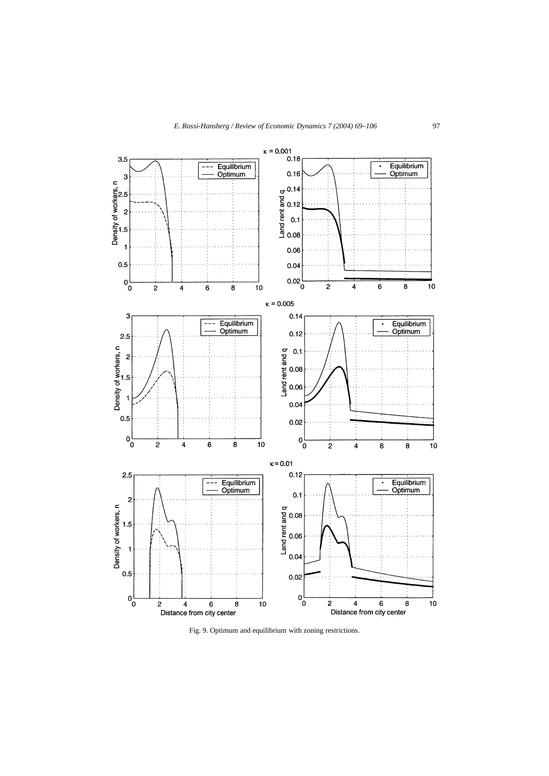

Fig. 9. Optimum and equilibrium with zoning restrictions.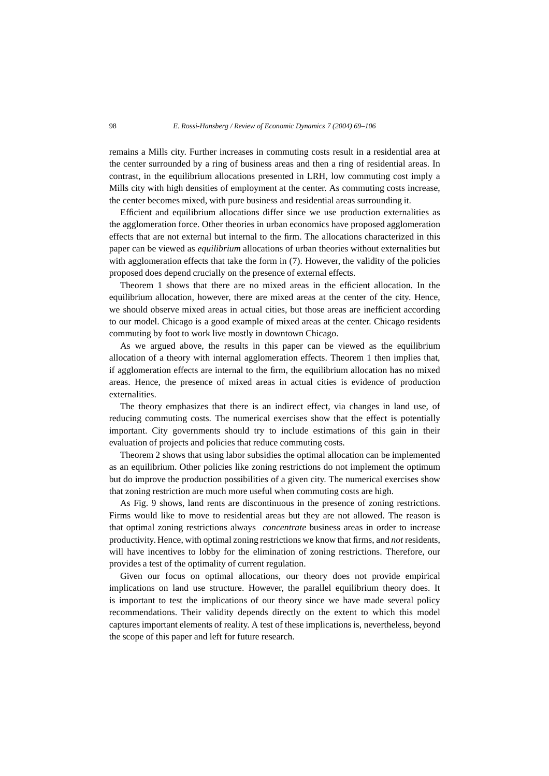remains a Mills city. Further increases in commuting costs result in a residential area at the center surrounded by a ring of business areas and then a ring of residential areas. In contrast, in the equilibrium allocations presented in LRH, low commuting cost imply a Mills city with high densities of employment at the center. As commuting costs increase, the center becomes mixed, with pure business and residential areas surrounding it.

Efficient and equilibrium allocations differ since we use production externalities as the agglomeration force. Other theories in urban economics have proposed agglomeration effects that are not external but internal to the firm. The allocations characterized in this paper can be viewed as *equilibrium* allocations of urban theories without externalities but with agglomeration effects that take the form in (7). However, the validity of the policies proposed does depend crucially on the presence of external effects.

Theorem 1 shows that there are no mixed areas in the efficient allocation. In the equilibrium allocation, however, there are mixed areas at the center of the city. Hence, we should observe mixed areas in actual cities, but those areas are inefficient according to our model. Chicago is a good example of mixed areas at the center. Chicago residents commuting by foot to work live mostly in downtown Chicago.

As we argued above, the results in this paper can be viewed as the equilibrium allocation of a theory with internal agglomeration effects. Theorem 1 then implies that, if agglomeration effects are internal to the firm, the equilibrium allocation has no mixed areas. Hence, the presence of mixed areas in actual cities is evidence of production externalities.

The theory emphasizes that there is an indirect effect, via changes in land use, of reducing commuting costs. The numerical exercises show that the effect is potentially important. City governments should try to include estimations of this gain in their evaluation of projects and policies that reduce commuting costs.

Theorem 2 shows that using labor subsidies the optimal allocation can be implemented as an equilibrium. Other policies like zoning restrictions do not implement the optimum but do improve the production possibilities of a given city. The numerical exercises show that zoning restriction are much more useful when commuting costs are high.

As Fig. 9 shows, land rents are discontinuous in the presence of zoning restrictions. Firms would like to move to residential areas but they are not allowed. The reason is that optimal zoning restrictions always *concentrate* business areas in order to increase productivity. Hence, with optimal zoning restrictions we know that firms, and *not* residents, will have incentives to lobby for the elimination of zoning restrictions. Therefore, our provides a test of the optimality of current regulation.

Given our focus on optimal allocations, our theory does not provide empirical implications on land use structure. However, the parallel equilibrium theory does. It is important to test the implications of our theory since we have made several policy recommendations. Their validity depends directly on the extent to which this model captures important elements of reality. A test of these implications is, nevertheless, beyond the scope of this paper and left for future research.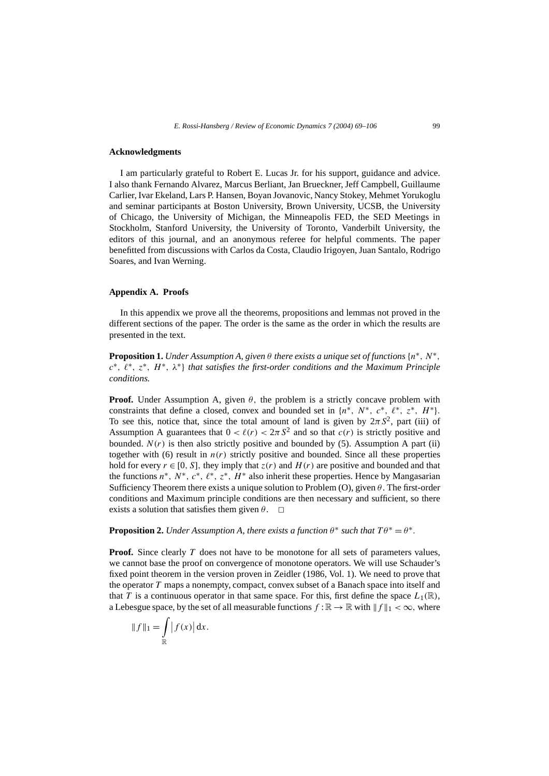## **Acknowledgments**

I am particularly grateful to Robert E. Lucas Jr. for his support, guidance and advice. I also thank Fernando Alvarez, Marcus Berliant, Jan Brueckner, Jeff Campbell, Guillaume Carlier, Ivar Ekeland, Lars P. Hansen, Boyan Jovanovic, Nancy Stokey, Mehmet Yorukoglu and seminar participants at Boston University, Brown University, UCSB, the University of Chicago, the University of Michigan, the Minneapolis FED, the SED Meetings in Stockholm, Stanford University, the University of Toronto, Vanderbilt University, the editors of this journal, and an anonymous referee for helpful comments. The paper benefitted from discussions with Carlos da Costa, Claudio Irigoyen, Juan Santalo, Rodrigo Soares, and Ivan Werning.

## **Appendix A. Proofs**

In this appendix we prove all the theorems, propositions and lemmas not proved in the different sections of the paper. The order is the same as the order in which the results are presented in the text.

**Proposition 1.** *Under Assumption A, given*  $\theta$  *there exists a unique set of functions*  $\{n^*, N^*,$ *c*∗*,* ∗*, z*∗*, H*∗*, λ*∗} *that satisfies the first-order conditions and the Maximum Principle conditions.*

**Proof.** Under Assumption A, given  $\theta$ , the problem is a strictly concave problem with constraints that define a closed, convex and bounded set in  $\{n^*, N^*, c^*, \ell^*, z^*, H^*\}$ . To see this, notice that, since the total amount of land is given by  $2\pi S^2$ , part (iii) of Assumption A guarantees that  $0 < \ell(r) < 2\pi S^2$  and so that  $c(r)$  is strictly positive and bounded.  $N(r)$  is then also strictly positive and bounded by (5). Assumption A part (ii) together with (6) result in  $n(r)$  strictly positive and bounded. Since all these properties hold for every  $r \in [0, S]$ , they imply that  $z(r)$  and  $H(r)$  are positive and bounded and that the functions *n*∗*, N*∗*, c*∗*,* ∗*, z*∗*, H*<sup>∗</sup> also inherit these properties. Hence by Mangasarian Sufficiency Theorem there exists a unique solution to Problem (O), given *θ* . The first-order conditions and Maximum principle conditions are then necessary and sufficient, so there exists a solution that satisfies them given  $\theta$ .  $\Box$ 

**Proposition 2.** *Under Assumption A, there exists a function*  $\theta^*$  *such that*  $T\theta^* = \theta^*$ *.* 

**Proof.** Since clearly *T* does not have to be monotone for all sets of parameters values, we cannot base the proof on convergence of monotone operators. We will use Schauder's fixed point theorem in the version proven in Zeidler (1986, Vol. 1). We need to prove that the operator *T* maps a nonempty, compact, convex subset of a Banach space into itself and that *T* is a continuous operator in that same space. For this, first define the space  $L_1(\mathbb{R})$ , a Lebesgue space, by the set of all measurable functions  $f : \mathbb{R} \to \mathbb{R}$  with  $||f||_1 < \infty$ , where

$$
||f||_1 = \int_{\mathbb{R}} |f(x)| dx.
$$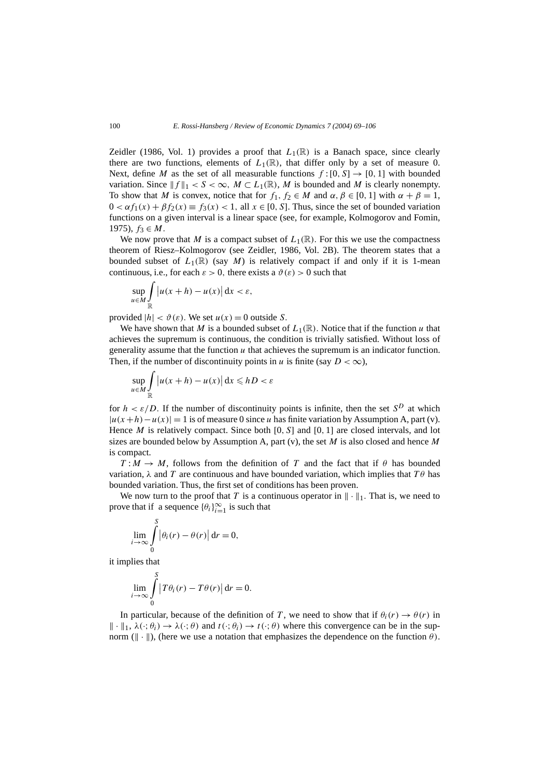Zeidler (1986, Vol. 1) provides a proof that  $L_1(\mathbb{R})$  is a Banach space, since clearly there are two functions, elements of  $L_1(\mathbb{R})$ , that differ only by a set of measure 0. Next, define *M* as the set of all measurable functions  $f:[0, S] \rightarrow [0, 1]$  with bounded variation. Since  $|| f ||_1 < S < \infty$ ,  $M \subset L_1(\mathbb{R})$ , M is bounded and M is clearly nonempty. To show that *M* is convex, notice that for  $f_1, f_2 \in M$  and  $\alpha, \beta \in [0, 1]$  with  $\alpha + \beta = 1$ ,  $0 < \alpha f_1(x) + \beta f_2(x) \equiv f_3(x) < 1$ , all  $x \in [0, S]$ . Thus, since the set of bounded variation functions on a given interval is a linear space (see, for example, Kolmogorov and Fomin, 1975),  $f_3$  ∈ *M*.

We now prove that *M* is a compact subset of  $L_1(\mathbb{R})$ . For this we use the compactness theorem of Riesz–Kolmogorov (see Zeidler, 1986, Vol. 2B). The theorem states that a bounded subset of  $L_1(\mathbb{R})$  (say M) is relatively compact if and only if it is 1-mean continuous, i.e., for each  $\varepsilon > 0$ , there exists a  $\vartheta(\varepsilon) > 0$  such that

$$
\sup_{u\in M}\int_{\mathbb{R}}\left|u(x+h)-u(x)\right|\mathrm{d}x<\varepsilon,
$$

provided  $|h| < \vartheta(\varepsilon)$ . We set  $u(x) = 0$  outside *S*.

We have shown that *M* is a bounded subset of  $L_1(\mathbb{R})$ . Notice that if the function *u* that achieves the supremum is continuous, the condition is trivially satisfied. Without loss of generality assume that the function *u* that achieves the supremum is an indicator function. Then, if the number of discontinuity points in *u* is finite (say  $D < \infty$ ),

$$
\sup_{u \in M} \int_{\mathbb{R}} |u(x+h) - u(x)| dx \le hD < \varepsilon
$$

for  $h < \varepsilon/D$ . If the number of discontinuity points is infinite, then the set  $S^D$  at which  $|u(x+h)-u(x)|=1$  is of measure 0 since *u* has finite variation by Assumption A, part (v). Hence *M* is relatively compact. Since both [0*, S*] and [0*,* 1] are closed intervals, and lot sizes are bounded below by Assumption A, part (v), the set *M* is also closed and hence *M* is compact.

 $T: M \to M$ , follows from the definition of *T* and the fact that if  $\theta$  has bounded variation,  $\lambda$  and *T* are continuous and have bounded variation, which implies that  $T\theta$  has bounded variation. Thus, the first set of conditions has been proven.

We now turn to the proof that *T* is a continuous operator in  $\|\cdot\|_1$ . That is, we need to prove that if a sequence  $\{\theta_i\}_{i=1}^{\infty}$  is such that

$$
\lim_{i \to \infty} \int_{0}^{S} |\theta_i(r) - \theta(r)| dr = 0,
$$

it implies that

$$
\lim_{i \to \infty} \int_{0}^{S} |T \theta_i(r) - T \theta(r)| \, dr = 0.
$$

In particular, because of the definition of *T*, we need to show that if  $\theta_i(r) \to \theta(r)$  in  $\|\cdot\|_1$ ,  $\lambda(\cdot;\theta_i) \to \lambda(\cdot;\theta)$  and  $t(\cdot;\theta_i) \to t(\cdot;\theta)$  where this convergence can be in the supnorm ( $\|\cdot\|$ ), (here we use a notation that emphasizes the dependence on the function  $\theta$ ).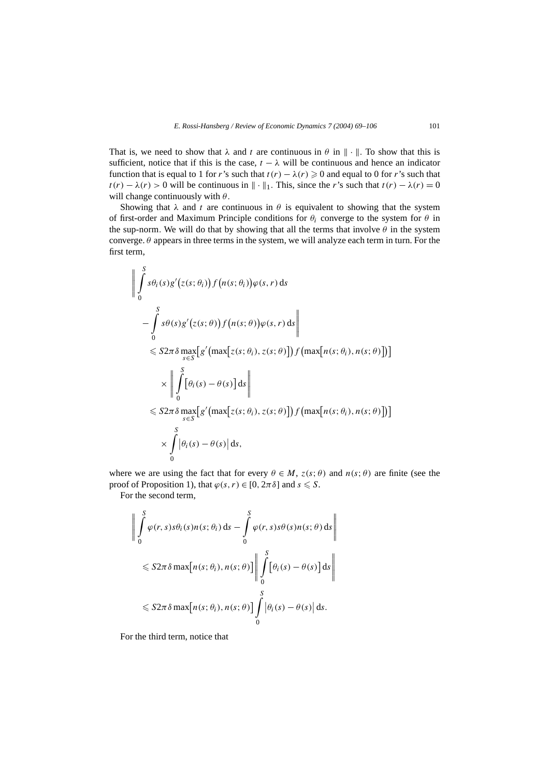That is, we need to show that  $\lambda$  and t are continuous in  $\theta$  in  $\|\cdot\|$ . To show that this is sufficient, notice that if this is the case,  $t - \lambda$  will be continuous and hence an indicator function that is equal to 1 for *r*'s such that  $t(r) - \lambda(r) \ge 0$  and equal to 0 for *r*'s such that  $t(r) - \lambda(r) > 0$  will be continuous in  $\|\cdot\|_1$ . This, since the *r*'s such that  $t(r) - \lambda(r) = 0$ will change continuously with *θ.*

Showing that  $\lambda$  and *t* are continuous in  $\theta$  is equivalent to showing that the system of first-order and Maximum Principle conditions for  $\theta_i$  converge to the system for  $\theta$  in the sup-norm. We will do that by showing that all the terms that involve  $\theta$  in the system converge.  $\theta$  appears in three terms in the system, we will analyze each term in turn. For the first term,

$$
\left\| \int_{0}^{S} s\theta_{i}(s)g'(z(s;\theta_{i}))f(n(s;\theta_{i}))\varphi(s,r) ds \right\|
$$
  
\n
$$
- \int_{0}^{S} s\theta(s)g'(z(s;\theta))f(n(s;\theta))\varphi(s,r) ds \right\|
$$
  
\n
$$
\leq S2\pi \delta \max_{s \in S} [g'(\max[z(s;\theta_{i}), z(s;\theta)])f(\max[n(s;\theta_{i}), n(s;\theta)])]
$$
  
\n
$$
\times \left\| \int_{0}^{S} [\theta_{i}(s) - \theta(s)] ds \right\|
$$
  
\n
$$
\leq S2\pi \delta \max_{s \in S} [g'(\max[z(s;\theta_{i}), z(s;\theta)]) f(\max[n(s;\theta_{i}), n(s;\theta)])]
$$
  
\n
$$
\times \int_{0}^{S} |\theta_{i}(s) - \theta(s)| ds,
$$

where we are using the fact that for every  $\theta \in M$ ,  $z(s; \theta)$  and  $n(s; \theta)$  are finite (see the proof of Proposition 1), that  $\varphi(s, r) \in [0, 2\pi \delta]$  and  $s \leq S$ .

For the second term,

$$
\left\| \int_{0}^{S} \varphi(r, s) s \theta_{i}(s) n(s; \theta_{i}) ds - \int_{0}^{S} \varphi(r, s) s \theta(s) n(s; \theta) ds \right\|
$$
  

$$
\leq S2\pi \delta \max[n(s; \theta_{i}), n(s; \theta)] \left\| \int_{0}^{S} [\theta_{i}(s) - \theta(s)] ds \right\|
$$
  

$$
\leq S2\pi \delta \max[n(s; \theta_{i}), n(s; \theta)] \int_{0}^{S} |\theta_{i}(s) - \theta(s)| ds.
$$

For the third term, notice that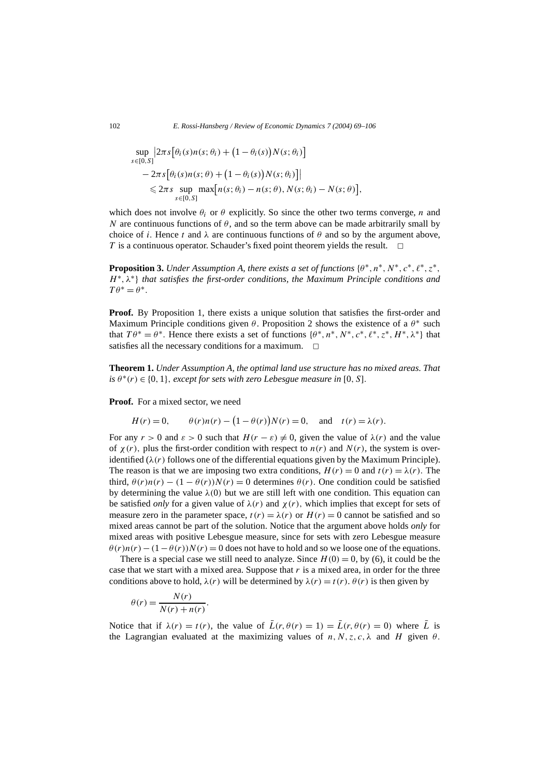$$
\sup_{s \in [0,S]} \left| 2\pi s \left[ \theta_i(s) n(s; \theta_i) + \left( 1 - \theta_i(s) \right) N(s; \theta_i) \right] \right|
$$
  
- 
$$
2\pi s \left[ \theta_i(s) n(s; \theta) + \left( 1 - \theta_i(s) \right) N(s; \theta_i) \right] \right|
$$
  

$$
\leq 2\pi s \sup_{s \in [0,S]} \max \left[ n(s; \theta_i) - n(s; \theta), N(s; \theta_i) - N(s; \theta) \right],
$$

which does not involve  $\theta_i$  or  $\theta$  explicitly. So since the other two terms converge, *n* and *N* are continuous functions of  $\theta$ , and so the term above can be made arbitrarily small by choice of *i*. Hence *t* and  $\lambda$  are continuous functions of  $\theta$  and so by the argument above, *T* is a continuous operator. Schauder's fixed point theorem yields the result.  $\Box$ 

**Proposition 3.** *Under Assumption A, there exists a set of functions*  $\{\theta^*, n^*, N^*, c^*, \ell^*, z^*, \theta^*, z^*\}$ *H*∗*, λ*∗} *that satisfies the first-order conditions, the Maximum Principle conditions and*  $T\theta^* = \theta^*$ .

**Proof.** By Proposition 1, there exists a unique solution that satisfies the first-order and Maximum Principle conditions given  $\theta$ . Proposition 2 shows the existence of a  $\theta^*$  such that  $T\theta^* = \theta^*$ . Hence there exists a set of functions  $\{\theta^*, n^*, N^*, c^*, \ell^*, z^*, H^*, \lambda^*\}$  that satisfies all the necessary conditions for a maximum.  $\Box$ 

**Theorem 1.** *Under Assumption A, the optimal land use structure has no mixed areas. That is*  $\theta^*(r) \in \{0, 1\}$ , *except for sets with zero Lebesgue measure in* [0*, S*].

Proof. For a mixed sector, we need

$$
H(r) = 0, \qquad \theta(r)n(r) - (1 - \theta(r))N(r) = 0, \quad \text{and} \quad t(r) = \lambda(r).
$$

For any  $r > 0$  and  $\varepsilon > 0$  such that  $H(r - \varepsilon) \neq 0$ , given the value of  $\lambda(r)$  and the value of  $\chi(r)$ , plus the first-order condition with respect to  $n(r)$  and  $N(r)$ , the system is overidentified  $(\lambda(r))$  follows one of the differential equations given by the Maximum Principle). The reason is that we are imposing two extra conditions,  $H(r) = 0$  and  $t(r) = \lambda(r)$ . The third,  $\theta(r)n(r) - (1 - \theta(r))N(r) = 0$  determines  $\theta(r)$ . One condition could be satisfied by determining the value  $\lambda(0)$  but we are still left with one condition. This equation can be satisfied *only* for a given value of  $\lambda(r)$  and  $\chi(r)$ , which implies that except for sets of measure zero in the parameter space,  $t(r) = \lambda(r)$  or  $H(r) = 0$  cannot be satisfied and so mixed areas cannot be part of the solution. Notice that the argument above holds *only* for mixed areas with positive Lebesgue measure, since for sets with zero Lebesgue measure  $\theta(r)n(r)$  − (1 −  $\theta(r)$ ) $N(r)$  = 0 does not have to hold and so we loose one of the equations.

There is a special case we still need to analyze. Since  $H(0) = 0$ , by (6), it could be the case that we start with a mixed area. Suppose that *r* is a mixed area, in order for the three conditions above to hold,  $\lambda(r)$  will be determined by  $\lambda(r) = t(r)$ .  $\theta(r)$  is then given by

$$
\theta(r) = \frac{N(r)}{N(r) + n(r)}.
$$

Notice that if  $\lambda(r) = t(r)$ , the value of  $\bar{L}(r, \theta(r) = 1) = \bar{L}(r, \theta(r) = 0)$  where  $\bar{L}$  is the Lagrangian evaluated at the maximizing values of  $n, N, z, c, \lambda$  and *H* given  $\theta$ .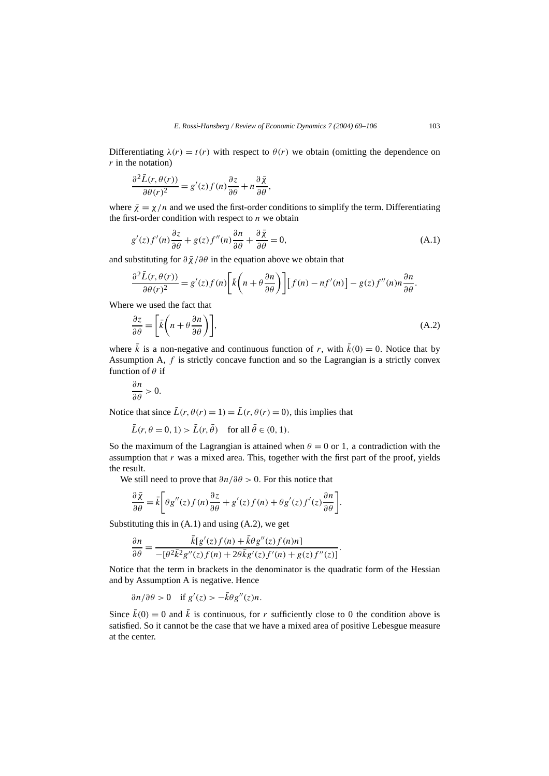Differentiating  $\lambda(r) = t(r)$  with respect to  $\theta(r)$  we obtain (omitting the dependence on *r* in the notation)

$$
\frac{\partial^2 \bar{L}(r,\theta(r))}{\partial \theta(r)^2} = g'(z)f(n)\frac{\partial z}{\partial \theta} + n\frac{\partial \bar{\chi}}{\partial \theta},
$$

where  $\bar{\chi} = \chi/n$  and we used the first-order conditions to simplify the term. Differentiating the first-order condition with respect to *n* we obtain

$$
g'(z)f'(n)\frac{\partial z}{\partial \theta} + g(z)f''(n)\frac{\partial n}{\partial \theta} + \frac{\partial \bar{\chi}}{\partial \theta} = 0,
$$
\n(A.1)

and substituting for  $\frac{\partial \bar{\chi}}{\partial \theta}$  in the equation above we obtain that

$$
\frac{\partial^2 \bar{L}(r,\theta(r))}{\partial \theta(r)^2} = g'(z)f(n)\bigg[\bar{k}\bigg(n+\theta\frac{\partial n}{\partial \theta}\bigg)\bigg][f(n) - nf'(n)\bigg] - g(z)f''(n)n\frac{\partial n}{\partial \theta}.
$$

Where we used the fact that

$$
\frac{\partial z}{\partial \theta} = \left[ \bar{k} \left( n + \theta \frac{\partial n}{\partial \theta} \right) \right],\tag{A.2}
$$

where  $\bar{k}$  is a non-negative and continuous function of *r*, with  $\bar{k}(0) = 0$ . Notice that by Assumption A, *f* is strictly concave function and so the Lagrangian is a strictly convex function of *θ* if

$$
\frac{\partial n}{\partial \theta} > 0.
$$

Notice that since  $\bar{L}(r, \theta(r) = 1) = \bar{L}(r, \theta(r) = 0)$ , this implies that

$$
\bar{L}(r, \theta = 0, 1) > \bar{L}(r, \bar{\theta}) \quad \text{for all } \bar{\theta} \in (0, 1).
$$

So the maximum of the Lagrangian is attained when  $\theta = 0$  or 1, a contradiction with the assumption that *r* was a mixed area. This, together with the first part of the proof, yields the result.

We still need to prove that *∂n/∂θ >* 0*.* For this notice that

$$
\frac{\partial \bar{\chi}}{\partial \theta} = \bar{k} \bigg[ \theta g''(z) f(n) \frac{\partial z}{\partial \theta} + g'(z) f(n) + \theta g'(z) f'(z) \frac{\partial n}{\partial \theta} \bigg].
$$

Substituting this in  $(A.1)$  and using  $(A.2)$ , we get

$$
\frac{\partial n}{\partial \theta} = \frac{\bar{k}[g'(z)f(n) + \bar{k}\theta g''(z)f(n)n]}{-[\theta^2 \bar{k}^2 g''(z)f(n) + 2\theta \bar{k}g'(z)f'(n) + g(z)f''(z)]}
$$

Notice that the term in brackets in the denominator is the quadratic form of the Hessian and by Assumption A is negative. Hence

*.*

$$
\frac{\partial n}{\partial \theta} > 0 \quad \text{if } g'(z) > -\bar{k}\theta g''(z)n.
$$

Since  $\bar{k}(0) = 0$  and  $\bar{k}$  is continuous, for *r* sufficiently close to 0 the condition above is satisfied. So it cannot be the case that we have a mixed area of positive Lebesgue measure at the center.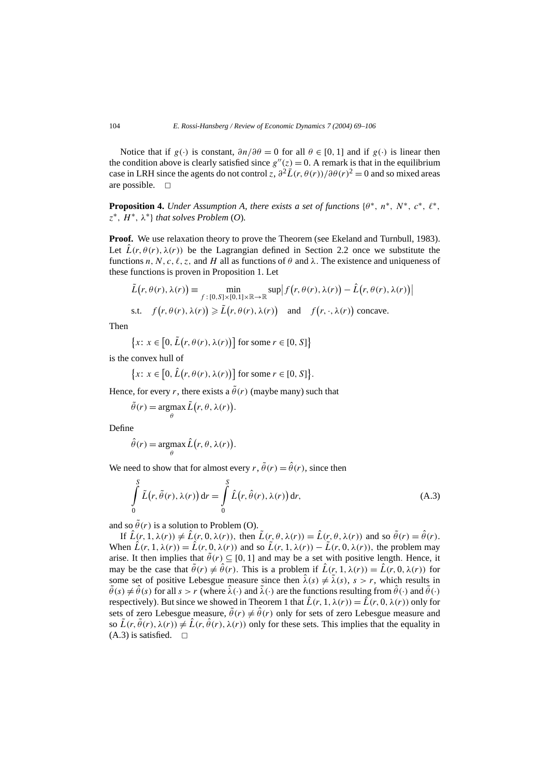Notice that if  $g(\cdot)$  is constant,  $\partial n/\partial \theta = 0$  for all  $\theta \in [0, 1]$  and if  $g(\cdot)$  is linear then the condition above is clearly satisfied since  $g''(z) = 0$ . A remark is that in the equilibrium case in LRH since the agents do not control *z*,  $\partial^2 \bar{L}(r, \theta(r))/\partial \theta(r)^2 = 0$  and so mixed areas are possible.  $\square$ 

**Proposition 4.** *Under Assumption A, there exists a set of functions*  $\{\theta^*, n^*, N^*, c^*, \ell^*, \ell^*\}$ *z*∗*, H*∗*, λ*∗} *that solves Problem* (*O*)*.*

**Proof.** We use relaxation theory to prove the Theorem (see Ekeland and Turnbull, 1983). Let  $\hat{L}(r, \theta(r), \lambda(r))$  be the Lagrangian defined in Section 2.2 once we substitute the functions *n*, *N*, *c*,  $\ell$ , *z*, and *H* all as functions of  $\theta$  and  $\lambda$ . The existence and uniqueness of these functions is proven in Proposition 1. Let

$$
\tilde{L}(r, \theta(r), \lambda(r)) \equiv \min_{f:[0, S] \times [0, 1] \times \mathbb{R} \to \mathbb{R}} \sup |f(r, \theta(r), \lambda(r)) - \hat{L}(r, \theta(r), \lambda(r))|
$$
  
s.t.  $f(r, \theta(r), \lambda(r)) \ge \tilde{L}(r, \theta(r), \lambda(r))$  and  $f(r, \cdot, \lambda(r))$  concave.

Then

 $\{x: x \in [0, \tilde{L}(r, \theta(r), \lambda(r))]$  for some  $r \in [0, S]$ 

is the convex hull of

$$
\{x: x \in [0, \hat{L}(r, \theta(r), \lambda(r))] \text{ for some } r \in [0, S] \}.
$$

Hence, for every *r*, there exists a  $\tilde{\theta}(r)$  (maybe many) such that

 $\tilde{\theta}(r) = \arg\max \tilde{L}(r, \theta, \lambda(r)).$ 

*θ*

Define

$$
\hat{\theta}(r) = \underset{\theta}{\operatorname{argmax}} \hat{L}(r, \theta, \lambda(r)).
$$

We need to show that for almost every  $r, \tilde{\theta}(r) = \hat{\theta}(r)$ , since then

$$
\int_{0}^{S} \tilde{L}(r, \tilde{\theta}(r), \lambda(r)) dr = \int_{0}^{S} \hat{L}(r, \hat{\theta}(r), \lambda(r)) dr,
$$
\n(A.3)

and so  $\tilde{\theta}(r)$  is a solution to Problem (O).

If  $\hat{L}(r, 1, \lambda(r)) \neq \hat{L}(r, 0, \lambda(r))$ , then  $\tilde{L}(r, \theta, \lambda(r)) = \hat{L}(r, \theta, \lambda(r))$  and so  $\tilde{\theta}(r) = \hat{\theta}(r)$ . When  $\hat{L}(r, 1, \lambda(r)) = \hat{L}(r, 0, \lambda(r))$  and so  $\tilde{L}(r, 1, \lambda(r)) - \tilde{L}(r, 0, \lambda(r))$ , the problem may arise. It then implies that  $\hat{\theta}(r) \subseteq [0, 1]$  and may be a set with positive length. Hence, it may be the case that  $\tilde{\theta}(r) \neq \hat{\theta}(r)$ . This is a problem if  $\hat{L}(r, 1, \lambda(r)) = \hat{L}(r, 0, \lambda(r))$  for some set of positive Lebesgue measure since then  $\hat{\lambda}(s) \neq \tilde{\lambda}(s)$ ,  $s > r$ , which results in  $\hat{\theta}(s) \neq \hat{\theta}(s)$  for all  $s > r$  (where  $\hat{\lambda}(\cdot)$  and  $\tilde{\lambda}(\cdot)$  are the functions resulting from  $\hat{\theta}(\cdot)$  and  $\tilde{\theta}(\cdot)$ respectively). But since we showed in Theorem 1 that  $\hat{L}(r, 1, \lambda(r)) = \hat{L}(r, 0, \lambda(r))$  only for sets of zero Lebesgue measure,  $\hat{\theta}(r) \neq \hat{\theta}(r)$  only for sets of zero Lebesgue measure and so  $\tilde{L}(r, \tilde{\theta}(r), \lambda(r)) \neq \hat{L}(r, \hat{\theta}(r), \lambda(r))$  only for these sets. This implies that the equality in  $(A.3)$  is satisfied.  $\square$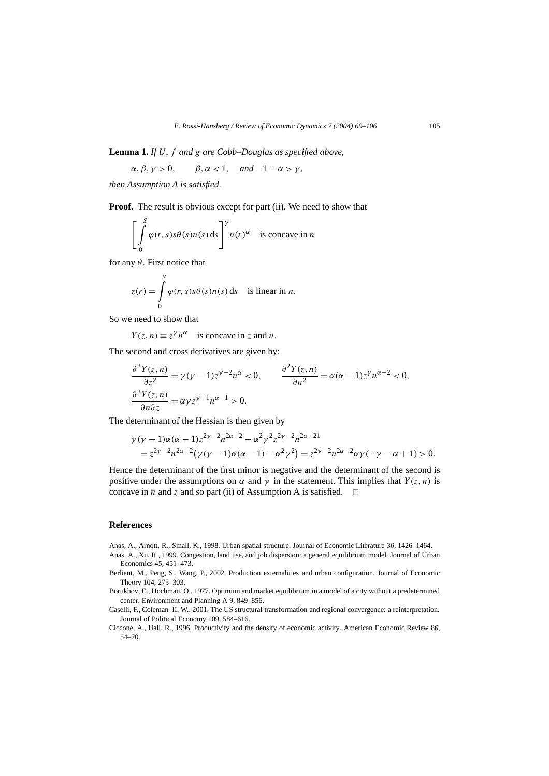**Lemma 1.** *If U,f and g are Cobb–Douglas as specified above,*

 $\alpha, \beta, \gamma > 0, \qquad \beta, \alpha < 1, \quad and \quad 1 - \alpha > \gamma,$ 

*then Assumption A is satisfied.*

**Proof.** The result is obvious except for part (ii). We need to show that

$$
\left[\int_{0}^{S} \varphi(r,s)s\theta(s)n(s) \,ds\right]^{ \gamma} n(r)^{\alpha} \quad \text{is concave in } n
$$

for any *θ.* First notice that

$$
z(r) = \int_{0}^{S} \varphi(r, s)s \theta(s) n(s) ds \text{ is linear in } n.
$$

So we need to show that

 $Y(z, n) \equiv z^{\gamma} n^{\alpha}$  is concave in *z* and *n*.

The second and cross derivatives are given by:

$$
\frac{\partial^2 Y(z,n)}{\partial z^2} = \gamma(\gamma - 1)z^{\gamma - 2}n^{\alpha} < 0, \qquad \frac{\partial^2 Y(z,n)}{\partial n^2} = \alpha(\alpha - 1)z^{\gamma}n^{\alpha - 2} < 0,
$$
  

$$
\frac{\partial^2 Y(z,n)}{\partial n \partial z} = \alpha \gamma z^{\gamma - 1}n^{\alpha - 1} > 0.
$$

The determinant of the Hessian is then given by

$$
\gamma(\gamma - 1)\alpha(\alpha - 1)z^{2\gamma - 2}n^{2\alpha - 2} - \alpha^2 \gamma^2 z^{2\gamma - 2}n^{2\alpha - 21} = z^{2\gamma - 2}n^{2\alpha - 2}(\gamma(\gamma - 1)\alpha(\alpha - 1) - \alpha^2 \gamma^2) = z^{2\gamma - 2}n^{2\alpha - 2}\alpha\gamma(-\gamma - \alpha + 1) > 0.
$$

Hence the determinant of the first minor is negative and the determinant of the second is positive under the assumptions on  $\alpha$  and  $\gamma$  in the statement. This implies that  $Y(z, n)$  is concave in *n* and *z* and so part (ii) of Assumption A is satisfied.  $\Box$ 

#### **References**

Anas, A., Arnott, R., Small, K., 1998. Urban spatial structure. Journal of Economic Literature 36, 1426–1464.

- Anas, A., Xu, R., 1999. Congestion, land use, and job dispersion: a general equilibrium model. Journal of Urban Economics 45, 451–473.
- Berliant, M., Peng, S., Wang, P., 2002. Production externalities and urban configuration. Journal of Economic Theory 104, 275–303.

Borukhov, E., Hochman, O., 1977. Optimum and market equilibrium in a model of a city without a predetermined center. Environment and Planning A 9, 849–856.

Caselli, F., Coleman II, W., 2001. The US structural transformation and regional convergence: a reinterpretation. Journal of Political Economy 109, 584–616.

Ciccone, A., Hall, R., 1996. Productivity and the density of economic activity. American Economic Review 86, 54–70.